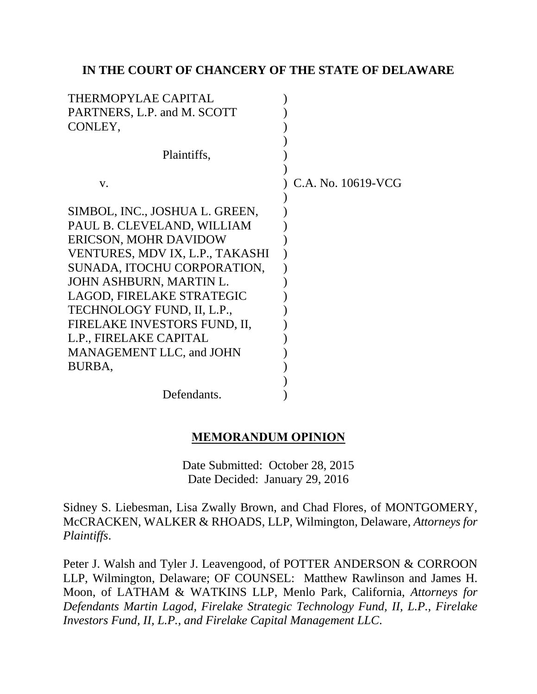## **IN THE COURT OF CHANCERY OF THE STATE OF DELAWARE**

| THERMOPYLAE CAPITAL             |                    |
|---------------------------------|--------------------|
| PARTNERS, L.P. and M. SCOTT     |                    |
| CONLEY,                         |                    |
|                                 |                    |
| Plaintiffs,                     |                    |
|                                 |                    |
| V.                              | C.A. No. 10619-VCG |
|                                 |                    |
| SIMBOL, INC., JOSHUA L. GREEN,  |                    |
| PAUL B. CLEVELAND, WILLIAM      |                    |
| ERICSON, MOHR DAVIDOW           |                    |
| VENTURES, MDV IX, L.P., TAKASHI |                    |
| SUNADA, ITOCHU CORPORATION,     |                    |
| JOHN ASHBURN, MARTIN L.         |                    |
| LAGOD, FIRELAKE STRATEGIC       |                    |
| TECHNOLOGY FUND, II, L.P.,      |                    |
| FIRELAKE INVESTORS FUND, II,    |                    |
| L.P., FIRELAKE CAPITAL          |                    |
| MANAGEMENT LLC, and JOHN        |                    |
| BURBA,                          |                    |
|                                 |                    |
| Defendants.                     |                    |

### **MEMORANDUM OPINION**

Date Submitted: October 28, 2015 Date Decided: January 29, 2016

Sidney S. Liebesman, Lisa Zwally Brown, and Chad Flores, of MONTGOMERY, McCRACKEN, WALKER & RHOADS, LLP, Wilmington, Delaware, *Attorneys for Plaintiffs*.

Peter J. Walsh and Tyler J. Leavengood, of POTTER ANDERSON & CORROON LLP, Wilmington, Delaware; OF COUNSEL: Matthew Rawlinson and James H. Moon, of LATHAM & WATKINS LLP, Menlo Park, California, *Attorneys for Defendants Martin Lagod, Firelake Strategic Technology Fund, II, L.P., Firelake Investors Fund, II, L.P., and Firelake Capital Management LLC*.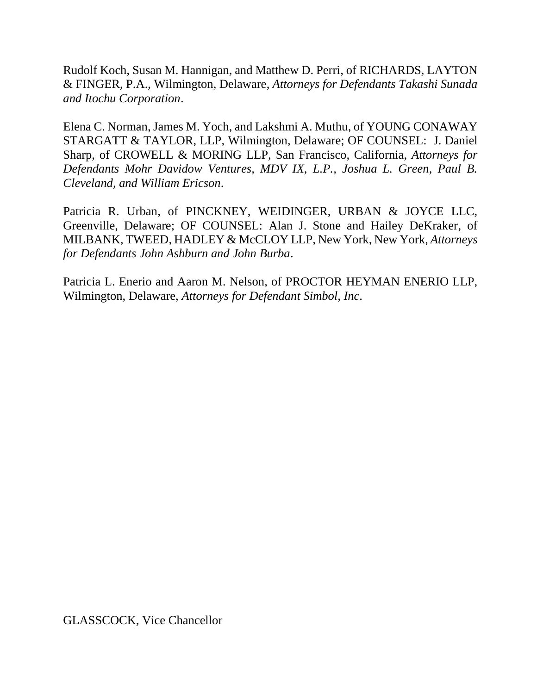Rudolf Koch, Susan M. Hannigan, and Matthew D. Perri, of RICHARDS, LAYTON & FINGER, P.A., Wilmington, Delaware, *Attorneys for Defendants Takashi Sunada and Itochu Corporation*.

Elena C. Norman, James M. Yoch, and Lakshmi A. Muthu, of YOUNG CONAWAY STARGATT & TAYLOR, LLP, Wilmington, Delaware; OF COUNSEL: J. Daniel Sharp, of CROWELL & MORING LLP, San Francisco, California, *Attorneys for Defendants Mohr Davidow Ventures, MDV IX, L.P., Joshua L. Green, Paul B. Cleveland, and William Ericson*.

Patricia R. Urban, of PINCKNEY, WEIDINGER, URBAN & JOYCE LLC, Greenville, Delaware; OF COUNSEL: Alan J. Stone and Hailey DeKraker, of MILBANK, TWEED, HADLEY & McCLOY LLP, New York, New York, *Attorneys for Defendants John Ashburn and John Burba*.

Patricia L. Enerio and Aaron M. Nelson, of PROCTOR HEYMAN ENERIO LLP, Wilmington, Delaware, *Attorneys for Defendant Simbol, Inc*.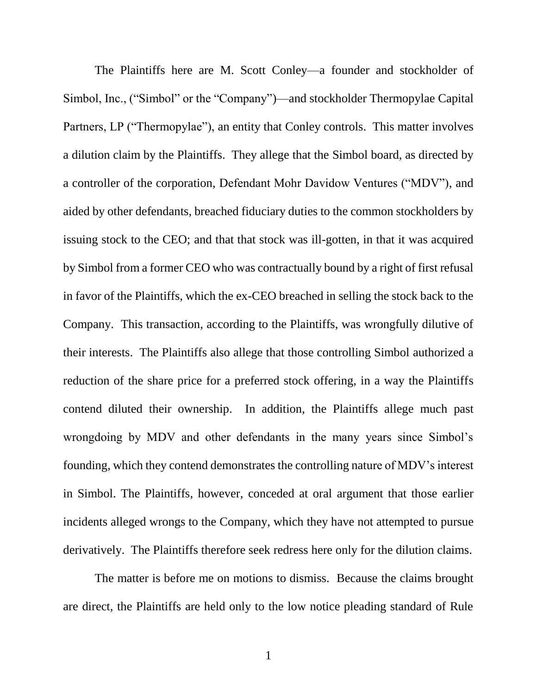The Plaintiffs here are M. Scott Conley—a founder and stockholder of Simbol, Inc., ("Simbol" or the "Company")—and stockholder Thermopylae Capital Partners, LP ("Thermopylae"), an entity that Conley controls. This matter involves a dilution claim by the Plaintiffs. They allege that the Simbol board, as directed by a controller of the corporation, Defendant Mohr Davidow Ventures ("MDV"), and aided by other defendants, breached fiduciary duties to the common stockholders by issuing stock to the CEO; and that that stock was ill-gotten, in that it was acquired by Simbol from a former CEO who was contractually bound by a right of first refusal in favor of the Plaintiffs, which the ex-CEO breached in selling the stock back to the Company. This transaction, according to the Plaintiffs, was wrongfully dilutive of their interests. The Plaintiffs also allege that those controlling Simbol authorized a reduction of the share price for a preferred stock offering, in a way the Plaintiffs contend diluted their ownership. In addition, the Plaintiffs allege much past wrongdoing by MDV and other defendants in the many years since Simbol's founding, which they contend demonstrates the controlling nature of MDV's interest in Simbol. The Plaintiffs, however, conceded at oral argument that those earlier incidents alleged wrongs to the Company, which they have not attempted to pursue derivatively. The Plaintiffs therefore seek redress here only for the dilution claims.

The matter is before me on motions to dismiss. Because the claims brought are direct, the Plaintiffs are held only to the low notice pleading standard of Rule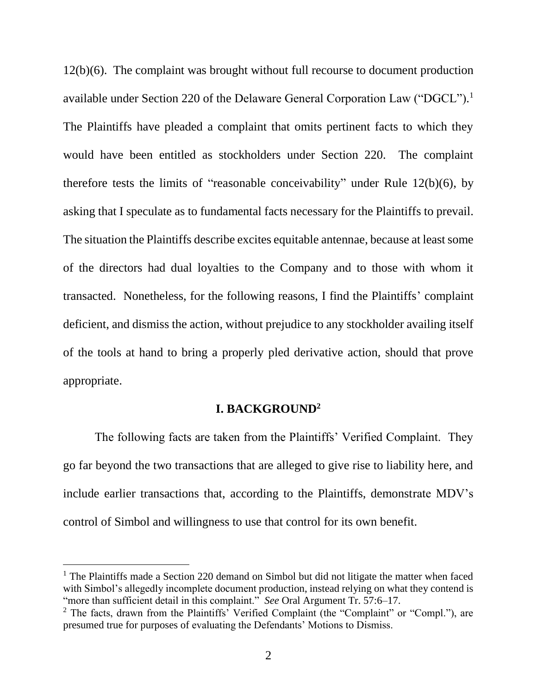12(b)(6). The complaint was brought without full recourse to document production available under Section 220 of the Delaware General Corporation Law ("DGCL").<sup>1</sup> The Plaintiffs have pleaded a complaint that omits pertinent facts to which they would have been entitled as stockholders under Section 220. The complaint therefore tests the limits of "reasonable conceivability" under Rule 12(b)(6), by asking that I speculate as to fundamental facts necessary for the Plaintiffs to prevail. The situation the Plaintiffs describe excites equitable antennae, because at least some of the directors had dual loyalties to the Company and to those with whom it transacted. Nonetheless, for the following reasons, I find the Plaintiffs' complaint deficient, and dismiss the action, without prejudice to any stockholder availing itself of the tools at hand to bring a properly pled derivative action, should that prove appropriate.

## **I. BACKGROUND<sup>2</sup>**

The following facts are taken from the Plaintiffs' Verified Complaint. They go far beyond the two transactions that are alleged to give rise to liability here, and include earlier transactions that, according to the Plaintiffs, demonstrate MDV's control of Simbol and willingness to use that control for its own benefit.

<sup>&</sup>lt;sup>1</sup> The Plaintiffs made a Section 220 demand on Simbol but did not litigate the matter when faced with Simbol's allegedly incomplete document production, instead relying on what they contend is "more than sufficient detail in this complaint." *See* Oral Argument Tr. 57:6–17.

<sup>&</sup>lt;sup>2</sup> The facts, drawn from the Plaintiffs' Verified Complaint (the "Complaint" or "Compl."), are presumed true for purposes of evaluating the Defendants' Motions to Dismiss.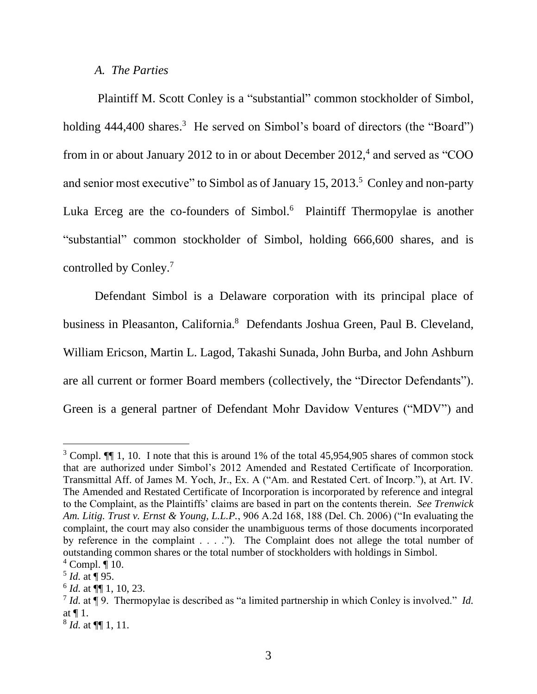*A. The Parties*

Plaintiff M. Scott Conley is a "substantial" common stockholder of Simbol, holding 444,400 shares.<sup>3</sup> He served on Simbol's board of directors (the "Board") from in or about January 2012 to in or about December  $2012<sup>4</sup>$  and served as "COO and senior most executive" to Simbol as of January 15, 2013.<sup>5</sup> Conley and non-party Luka Erceg are the co-founders of Simbol.<sup>6</sup> Plaintiff Thermopylae is another "substantial" common stockholder of Simbol, holding 666,600 shares, and is controlled by Conley.<sup>7</sup>

Defendant Simbol is a Delaware corporation with its principal place of business in Pleasanton, California.<sup>8</sup> Defendants Joshua Green, Paul B. Cleveland, William Ericson, Martin L. Lagod, Takashi Sunada, John Burba, and John Ashburn are all current or former Board members (collectively, the "Director Defendants"). Green is a general partner of Defendant Mohr Davidow Ventures ("MDV") and

<sup>&</sup>lt;sup>3</sup> Compl. II 1, 10. I note that this is around 1% of the total 45,954,905 shares of common stock that are authorized under Simbol's 2012 Amended and Restated Certificate of Incorporation. Transmittal Aff. of James M. Yoch, Jr., Ex. A ("Am. and Restated Cert. of Incorp."), at Art. IV. The Amended and Restated Certificate of Incorporation is incorporated by reference and integral to the Complaint, as the Plaintiffs' claims are based in part on the contents therein. *See Trenwick Am. Litig. Trust v. Ernst & Young, L.L.P.*, 906 A.2d 168, 188 (Del. Ch. 2006) ("In evaluating the complaint, the court may also consider the unambiguous terms of those documents incorporated by reference in the complaint . . . ."). The Complaint does not allege the total number of outstanding common shares or the total number of stockholders with holdings in Simbol.  $4$  Compl.  $\P$  10.

<sup>5</sup> *Id.* at ¶ 95.

 $^6$  *Id.* at  $\P\P$  1, 10, 23.

<sup>7</sup> *Id.* at ¶ 9. Thermopylae is described as "a limited partnership in which Conley is involved." *Id.* at ¶ 1.

<sup>8</sup> *Id.* at ¶¶ 1, 11.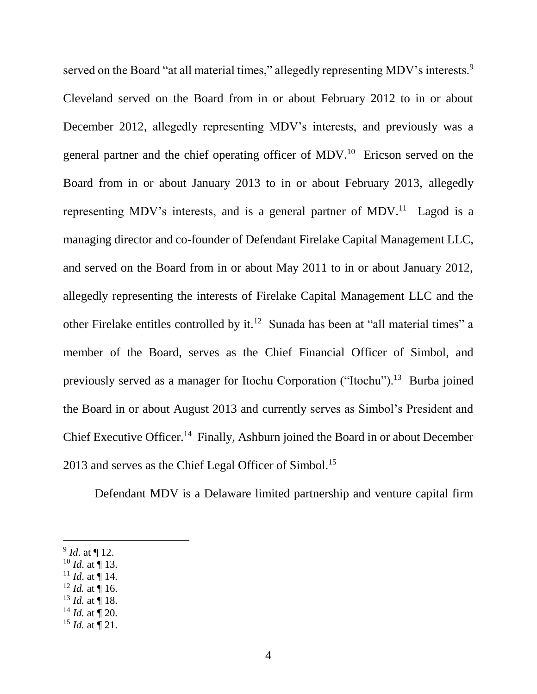served on the Board "at all material times," allegedly representing MDV's interests.<sup>9</sup> Cleveland served on the Board from in or about February 2012 to in or about December 2012, allegedly representing MDV's interests, and previously was a general partner and the chief operating officer of MDV.<sup>10</sup> Ericson served on the Board from in or about January 2013 to in or about February 2013, allegedly representing MDV's interests, and is a general partner of MDV.<sup>11</sup> Lagod is a managing director and co-founder of Defendant Firelake Capital Management LLC, and served on the Board from in or about May 2011 to in or about January 2012, allegedly representing the interests of Firelake Capital Management LLC and the other Firelake entitles controlled by it.<sup>12</sup> Sunada has been at "all material times" a member of the Board, serves as the Chief Financial Officer of Simbol, and previously served as a manager for Itochu Corporation ("Itochu").<sup>13</sup> Burba joined the Board in or about August 2013 and currently serves as Simbol's President and Chief Executive Officer.<sup>14</sup> Finally, Ashburn joined the Board in or about December 2013 and serves as the Chief Legal Officer of Simbol.<sup>15</sup>

Defendant MDV is a Delaware limited partnership and venture capital firm

- $10$  *Id.* at ¶ 13.
- $11$  *Id.* at ¶ 14.
- $12$  *Id.* at  $\overline{9}$  16.
- $^{13}$  *Id.* at ¶ 18.
- $14$  *Id.* at ¶ 20.
- $15$  *Id.* at  $\P$  21.

<sup>9</sup> *Id*. at ¶ 12.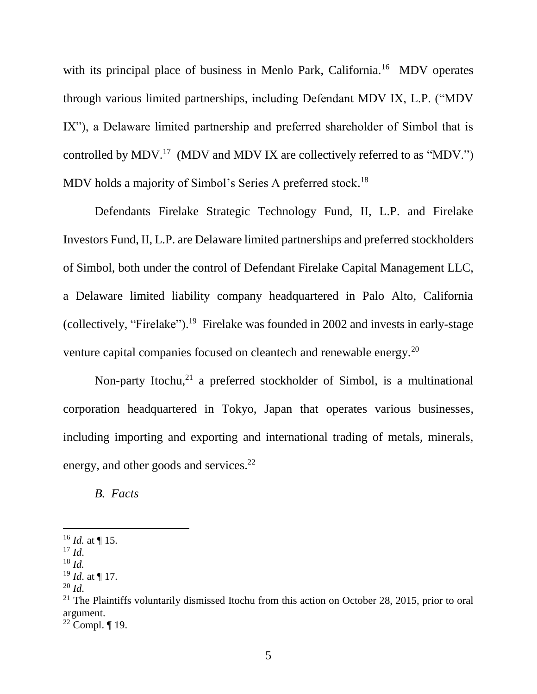with its principal place of business in Menlo Park, California.<sup>16</sup> MDV operates through various limited partnerships, including Defendant MDV IX, L.P. ("MDV IX"), a Delaware limited partnership and preferred shareholder of Simbol that is controlled by MDV.<sup>17</sup> (MDV and MDV IX are collectively referred to as "MDV.") MDV holds a majority of Simbol's Series A preferred stock.<sup>18</sup>

Defendants Firelake Strategic Technology Fund, II, L.P. and Firelake Investors Fund, II, L.P. are Delaware limited partnerships and preferred stockholders of Simbol, both under the control of Defendant Firelake Capital Management LLC, a Delaware limited liability company headquartered in Palo Alto, California (collectively, "Firelake"). 19 Firelake was founded in 2002 and invests in early-stage venture capital companies focused on cleantech and renewable energy.<sup>20</sup>

Non-party Itochu,<sup>21</sup> a preferred stockholder of Simbol, is a multinational corporation headquartered in Tokyo, Japan that operates various businesses, including importing and exporting and international trading of metals, minerals, energy, and other goods and services.<sup>22</sup>

*B. Facts*

 $^{16}$  *Id.* at ¶ 15.

 $17$  *Id.* 

<sup>18</sup> *Id.*

<sup>19</sup> *Id*. at ¶ 17.

 $^{20}$  *Id.* 

<sup>&</sup>lt;sup>21</sup> The Plaintiffs voluntarily dismissed Itochu from this action on October 28, 2015, prior to oral argument.

 $22$  Compl.  $\P$  19.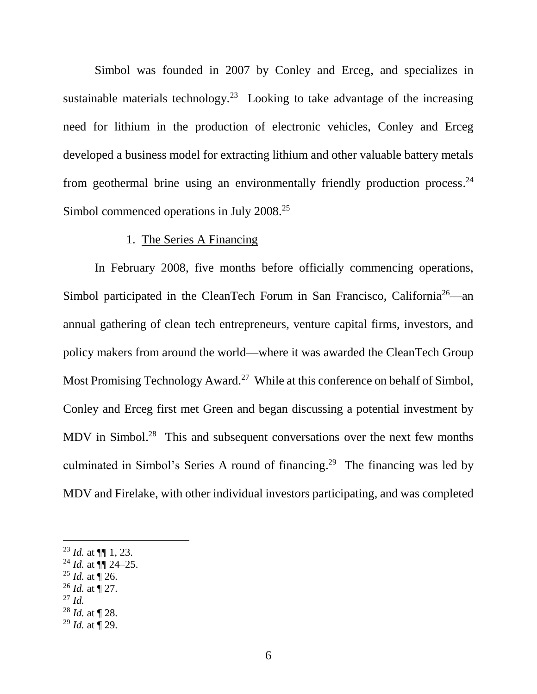Simbol was founded in 2007 by Conley and Erceg, and specializes in sustainable materials technology.<sup>23</sup> Looking to take advantage of the increasing need for lithium in the production of electronic vehicles, Conley and Erceg developed a business model for extracting lithium and other valuable battery metals from geothermal brine using an environmentally friendly production process.<sup>24</sup> Simbol commenced operations in July 2008.<sup>25</sup>

## 1. The Series A Financing

In February 2008, five months before officially commencing operations, Simbol participated in the CleanTech Forum in San Francisco, California<sup>26</sup>—an annual gathering of clean tech entrepreneurs, venture capital firms, investors, and policy makers from around the world—where it was awarded the CleanTech Group Most Promising Technology Award.<sup>27</sup> While at this conference on behalf of Simbol, Conley and Erceg first met Green and began discussing a potential investment by MDV in Simbol.<sup>28</sup> This and subsequent conversations over the next few months culminated in Simbol's Series A round of financing. 29 The financing was led by MDV and Firelake, with other individual investors participating, and was completed

- <sup>25</sup> *Id.* at  $\int_{0}^{\pi} 26$ .
- $^{26}$  *Id.* at  $\frac{1}{27}$ .
- <sup>27</sup> *Id.*

- <sup>28</sup> *Id.* at ¶ 28.
- <sup>29</sup> *Id.* at ¶ 29.

<sup>23</sup> *Id.* at ¶¶ 1, 23.

<sup>24</sup> *Id.* at ¶¶ 24–25.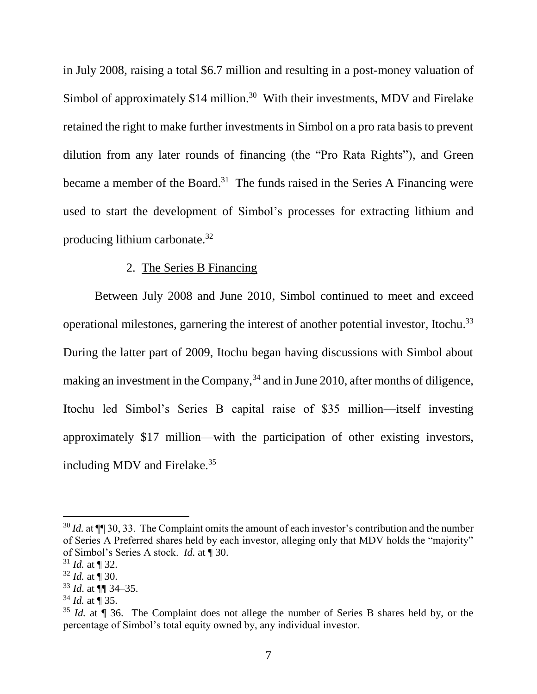in July 2008, raising a total \$6.7 million and resulting in a post-money valuation of Simbol of approximately \$14 million.<sup>30</sup> With their investments, MDV and Firelake retained the right to make further investments in Simbol on a pro rata basis to prevent dilution from any later rounds of financing (the "Pro Rata Rights"), and Green became a member of the Board.<sup>31</sup> The funds raised in the Series A Financing were used to start the development of Simbol's processes for extracting lithium and producing lithium carbonate.<sup>32</sup>

#### 2. The Series B Financing

Between July 2008 and June 2010, Simbol continued to meet and exceed operational milestones, garnering the interest of another potential investor, Itochu. 33 During the latter part of 2009, Itochu began having discussions with Simbol about making an investment in the Company,  $34$  and in June 2010, after months of diligence, Itochu led Simbol's Series B capital raise of \$35 million—itself investing approximately \$17 million—with the participation of other existing investors, including MDV and Firelake.<sup>35</sup>

<sup>&</sup>lt;sup>30</sup> *Id.* at  $\P$  30, 33. The Complaint omits the amount of each investor's contribution and the number of Series A Preferred shares held by each investor, alleging only that MDV holds the "majority" of Simbol's Series A stock. *Id.* at ¶ 30.

 $31$  *Id.* at ¶ 32.

 $32$  *Id.* at  $\frac{1}{3}$  30.

<sup>33</sup> *Id*. at ¶¶ 34–35.

<sup>34</sup> *Id.* at ¶ 35.

<sup>&</sup>lt;sup>35</sup> *Id.* at **T** 36. The Complaint does not allege the number of Series B shares held by, or the percentage of Simbol's total equity owned by, any individual investor.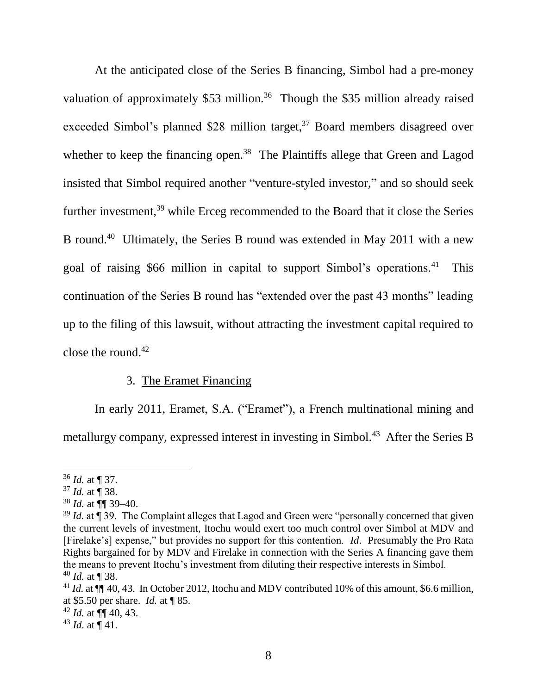At the anticipated close of the Series B financing, Simbol had a pre-money valuation of approximately  $$53$  million.<sup>36</sup> Though the \$35 million already raised exceeded Simbol's planned \$28 million target,<sup>37</sup> Board members disagreed over whether to keep the financing open.<sup>38</sup> The Plaintiffs allege that Green and Lagod insisted that Simbol required another "venture-styled investor," and so should seek further investment,<sup>39</sup> while Erceg recommended to the Board that it close the Series B round.<sup>40</sup> Ultimately, the Series B round was extended in May 2011 with a new goal of raising \$66 million in capital to support Simbol's operations.<sup>41</sup> This continuation of the Series B round has "extended over the past 43 months" leading up to the filing of this lawsuit, without attracting the investment capital required to close the round. $42$ 

### 3. The Eramet Financing

In early 2011, Eramet, S.A. ("Eramet"), a French multinational mining and metallurgy company, expressed interest in investing in Simbol.<sup>43</sup> After the Series B

<sup>36</sup> *Id.* at ¶ 37.

<sup>37</sup> *Id.* at ¶ 38.

<sup>38</sup> *Id.* at ¶¶ 39–40.

 $39$  *Id.* at  $\frac{1}{3}$  39. The Complaint alleges that Lagod and Green were "personally concerned that given the current levels of investment, Itochu would exert too much control over Simbol at MDV and [Firelake's] expense," but provides no support for this contention. *Id*. Presumably the Pro Rata Rights bargained for by MDV and Firelake in connection with the Series A financing gave them the means to prevent Itochu's investment from diluting their respective interests in Simbol. <sup>40</sup> *Id.* at ¶ 38.

<sup>&</sup>lt;sup>41</sup> *Id.* at  $\P\P$  40, 43. In October 2012, Itochu and MDV contributed 10% of this amount, \$6.6 million, at \$5.50 per share. *Id.* at ¶ 85.

<sup>42</sup> *Id.* at ¶¶ 40, 43.

<sup>43</sup> *Id*. at ¶ 41.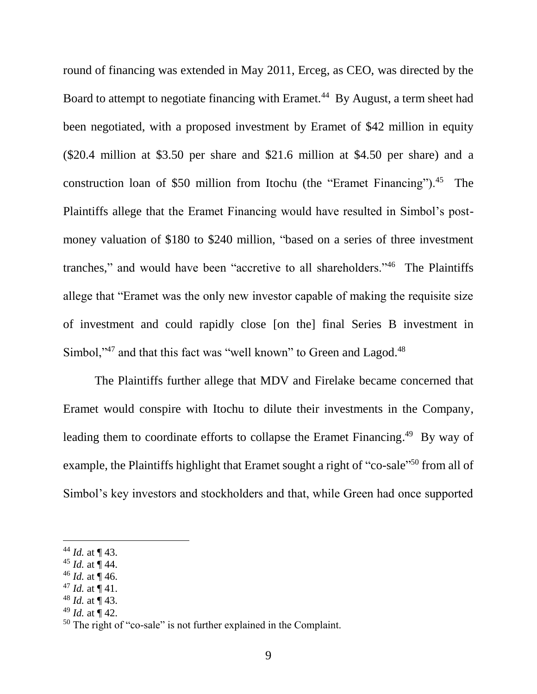round of financing was extended in May 2011, Erceg, as CEO, was directed by the Board to attempt to negotiate financing with Eramet.<sup>44</sup> By August, a term sheet had been negotiated, with a proposed investment by Eramet of \$42 million in equity (\$20.4 million at \$3.50 per share and \$21.6 million at \$4.50 per share) and a construction loan of \$50 million from Itochu (the "Eramet Financing").<sup>45</sup> The Plaintiffs allege that the Eramet Financing would have resulted in Simbol's postmoney valuation of \$180 to \$240 million, "based on a series of three investment tranches," and would have been "accretive to all shareholders."<sup>46</sup> The Plaintiffs allege that "Eramet was the only new investor capable of making the requisite size of investment and could rapidly close [on the] final Series B investment in Simbol,"<sup>47</sup> and that this fact was "well known" to Green and Lagod.<sup>48</sup>

The Plaintiffs further allege that MDV and Firelake became concerned that Eramet would conspire with Itochu to dilute their investments in the Company, leading them to coordinate efforts to collapse the Eramet Financing.<sup>49</sup> By way of example, the Plaintiffs highlight that Eramet sought a right of "co-sale"<sup>50</sup> from all of Simbol's key investors and stockholders and that, while Green had once supported

l

<sup>49</sup> *Id.* at ¶ 42.

<sup>&</sup>lt;sup>44</sup> *Id.* at  $\P$  43.

<sup>45</sup> *Id.* at ¶ 44.

 $46$  *Id.* at ¶ 46.

<sup>&</sup>lt;sup>47</sup> *Id.* at  $\P$  41.

<sup>48</sup> *Id.* at ¶ 43.

<sup>50</sup> The right of "co-sale" is not further explained in the Complaint.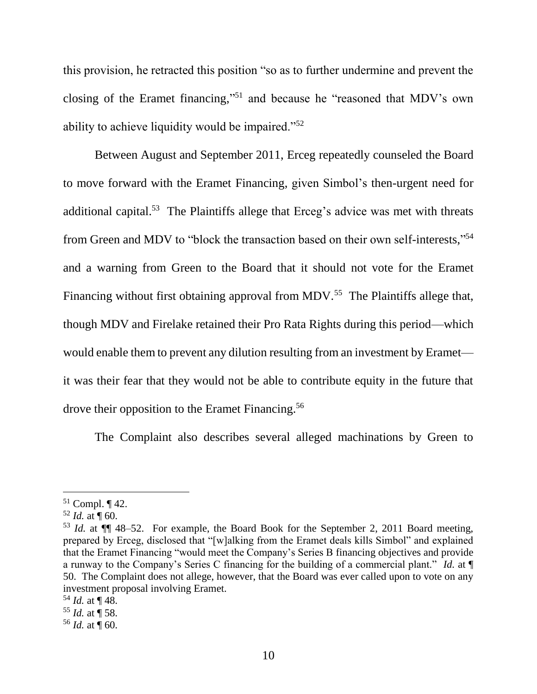this provision, he retracted this position "so as to further undermine and prevent the closing of the Eramet financing," <sup>51</sup> and because he "reasoned that MDV's own ability to achieve liquidity would be impaired."<sup>52</sup>

Between August and September 2011, Erceg repeatedly counseled the Board to move forward with the Eramet Financing, given Simbol's then-urgent need for additional capital.<sup>53</sup> The Plaintiffs allege that Erceg's advice was met with threats from Green and MDV to "block the transaction based on their own self-interests," 54 and a warning from Green to the Board that it should not vote for the Eramet Financing without first obtaining approval from MDV.<sup>55</sup> The Plaintiffs allege that, though MDV and Firelake retained their Pro Rata Rights during this period—which would enable them to prevent any dilution resulting from an investment by Eramet it was their fear that they would not be able to contribute equity in the future that drove their opposition to the Eramet Financing.<sup>56</sup>

<span id="page-11-0"></span>The Complaint also describes several alleged machinations by Green to

 $51$  Compl.  $\P$  42.

 $52$  *Id.* at  $\P$  60.

<sup>53</sup> *Id.* at ¶¶ 48–52. For example, the Board Book for the September 2, 2011 Board meeting, prepared by Erceg, disclosed that "[w]alking from the Eramet deals kills Simbol" and explained that the Eramet Financing "would meet the Company's Series B financing objectives and provide a runway to the Company's Series C financing for the building of a commercial plant." *Id.* at ¶ 50. The Complaint does not allege, however, that the Board was ever called upon to vote on any investment proposal involving Eramet.

 $54$  *Id.* at  $\P$  48.

<sup>55</sup> *Id.* at ¶ 58.

 $56$  *Id.* at  $\P$  60.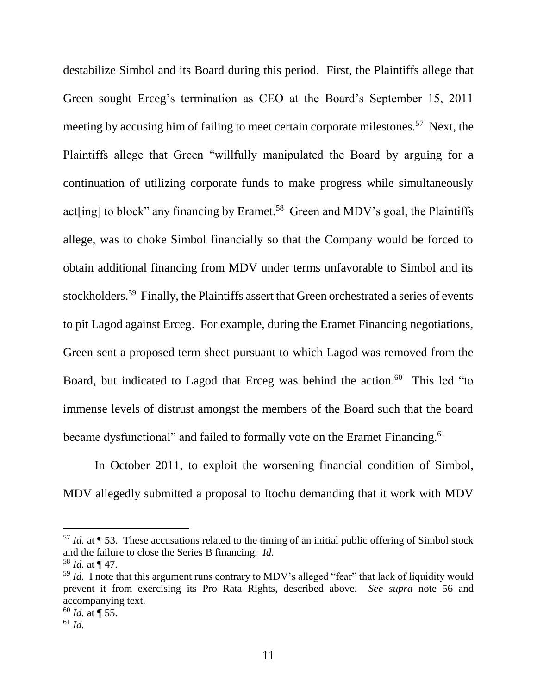destabilize Simbol and its Board during this period. First, the Plaintiffs allege that Green sought Erceg's termination as CEO at the Board's September 15, 2011 meeting by accusing him of failing to meet certain corporate milestones.<sup>57</sup> Next, the Plaintiffs allege that Green "willfully manipulated the Board by arguing for a continuation of utilizing corporate funds to make progress while simultaneously act[ing] to block" any financing by Eramet.<sup>58</sup> Green and MDV's goal, the Plaintiffs allege, was to choke Simbol financially so that the Company would be forced to obtain additional financing from MDV under terms unfavorable to Simbol and its stockholders.<sup>59</sup> Finally, the Plaintiffs assert that Green orchestrated a series of events to pit Lagod against Erceg. For example, during the Eramet Financing negotiations, Green sent a proposed term sheet pursuant to which Lagod was removed from the Board, but indicated to Lagod that Erceg was behind the action.<sup>60</sup> This led "to immense levels of distrust amongst the members of the Board such that the board became dysfunctional" and failed to formally vote on the Eramet Financing.<sup>61</sup>

In October 2011, to exploit the worsening financial condition of Simbol, MDV allegedly submitted a proposal to Itochu demanding that it work with MDV

<sup>57</sup> *Id.* at ¶ 53. These accusations related to the timing of an initial public offering of Simbol stock and the failure to close the Series B financing. *Id.*

<sup>58</sup> *Id.* at ¶ 47.

<sup>&</sup>lt;sup>59</sup> *Id.* I note that this argument runs contrary to MDV's alleged "fear" that lack of liquidity would prevent it from exercising its Pro Rata Rights, described above. *See supra* note [56](#page-11-0) and accompanying text.

 $60$  *Id.* at  $\P$  55.

<sup>61</sup> *Id.*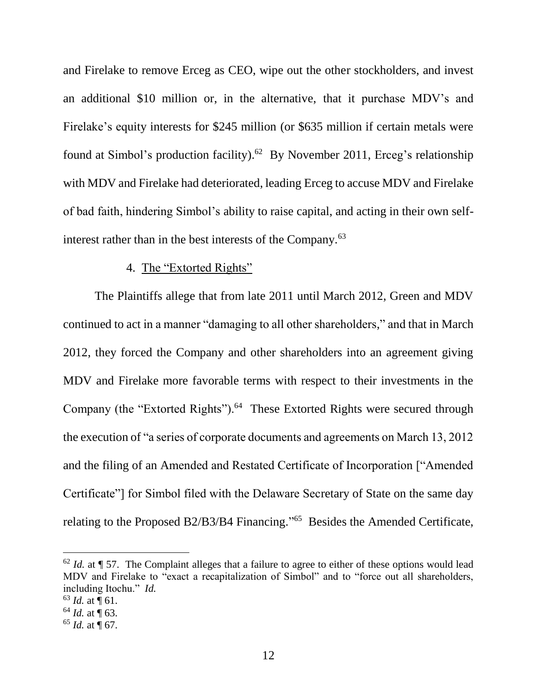and Firelake to remove Erceg as CEO, wipe out the other stockholders, and invest an additional \$10 million or, in the alternative, that it purchase MDV's and Firelake's equity interests for \$245 million (or \$635 million if certain metals were found at Simbol's production facility). 62 By November 2011, Erceg's relationship with MDV and Firelake had deteriorated, leading Erceg to accuse MDV and Firelake of bad faith, hindering Simbol's ability to raise capital, and acting in their own selfinterest rather than in the best interests of the Company.<sup>63</sup>

#### 4. The "Extorted Rights"

The Plaintiffs allege that from late 2011 until March 2012, Green and MDV continued to act in a manner "damaging to all other shareholders," and that in March 2012, they forced the Company and other shareholders into an agreement giving MDV and Firelake more favorable terms with respect to their investments in the Company (the "Extorted Rights").<sup>64</sup> These Extorted Rights were secured through the execution of "a series of corporate documents and agreements on March 13, 2012 and the filing of an Amended and Restated Certificate of Incorporation ["Amended Certificate"] for Simbol filed with the Delaware Secretary of State on the same day relating to the Proposed B2/B3/B4 Financing."<sup>65</sup> Besides the Amended Certificate,

 $62$  *Id.* at  $\P$  57. The Complaint alleges that a failure to agree to either of these options would lead MDV and Firelake to "exact a recapitalization of Simbol" and to "force out all shareholders, including Itochu." *Id.*

 $63$  *Id.* at  $\P$  61.

 $64$  *Id.* at ¶ 63.

 $65$  *Id.* at  $\frac{1}{9}$  67.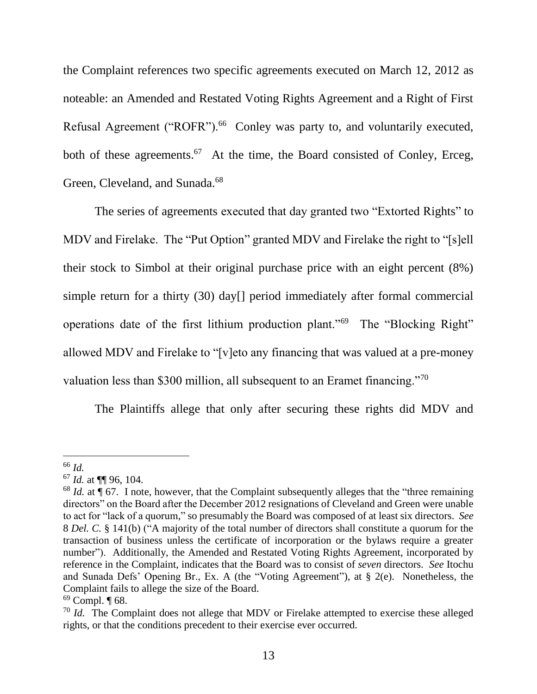the Complaint references two specific agreements executed on March 12, 2012 as noteable: an Amended and Restated Voting Rights Agreement and a Right of First Refusal Agreement ("ROFR").<sup>66</sup> Conley was party to, and voluntarily executed, both of these agreements.<sup>67</sup> At the time, the Board consisted of Conley, Erceg, Green, Cleveland, and Sunada.<sup>68</sup>

<span id="page-14-0"></span>The series of agreements executed that day granted two "Extorted Rights" to MDV and Firelake. The "Put Option" granted MDV and Firelake the right to "[s]ell their stock to Simbol at their original purchase price with an eight percent (8%) simple return for a thirty (30) day[] period immediately after formal commercial operations date of the first lithium production plant."<sup>69</sup> The "Blocking Right" allowed MDV and Firelake to "[v]eto any financing that was valued at a pre-money valuation less than \$300 million, all subsequent to an Eramet financing."<sup>70</sup>

The Plaintiffs allege that only after securing these rights did MDV and

<sup>66</sup> *Id.*

<sup>67</sup> *Id.* at ¶¶ 96, 104.

<sup>&</sup>lt;sup>68</sup> *Id.* at ¶ 67. I note, however, that the Complaint subsequently alleges that the "three remaining" directors" on the Board after the December 2012 resignations of Cleveland and Green were unable to act for "lack of a quorum," so presumably the Board was composed of at least six directors. *See* 8 *Del. C.* § 141(b) ("A majority of the total number of directors shall constitute a quorum for the transaction of business unless the certificate of incorporation or the bylaws require a greater number"). Additionally, the Amended and Restated Voting Rights Agreement, incorporated by reference in the Complaint, indicates that the Board was to consist of *seven* directors. *See* Itochu and Sunada Defs' Opening Br., Ex. A (the "Voting Agreement"), at § 2(e). Nonetheless, the Complaint fails to allege the size of the Board.

 $69$  Compl.  $\P$  68.

<sup>&</sup>lt;sup>70</sup> *Id.* The Complaint does not allege that MDV or Firelake attempted to exercise these alleged rights, or that the conditions precedent to their exercise ever occurred.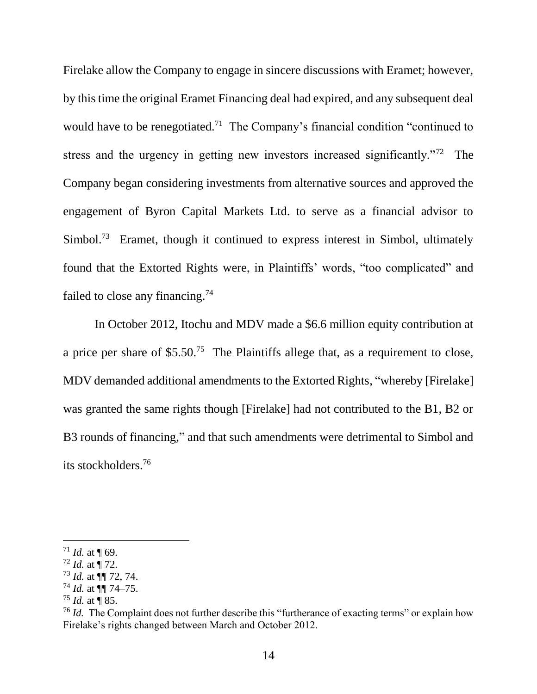Firelake allow the Company to engage in sincere discussions with Eramet; however, by this time the original Eramet Financing deal had expired, and any subsequent deal would have to be renegotiated.<sup>71</sup> The Company's financial condition "continued to stress and the urgency in getting new investors increased significantly."<sup>72</sup> The Company began considering investments from alternative sources and approved the engagement of Byron Capital Markets Ltd. to serve as a financial advisor to Simbol.<sup>73</sup> Eramet, though it continued to express interest in Simbol, ultimately found that the Extorted Rights were, in Plaintiffs' words, "too complicated" and failed to close any financing.<sup>74</sup>

In October 2012, Itochu and MDV made a \$6.6 million equity contribution at a price per share of  $$5.50<sup>75</sup>$  The Plaintiffs allege that, as a requirement to close, MDV demanded additional amendments to the Extorted Rights, "whereby [Firelake] was granted the same rights though [Firelake] had not contributed to the B1, B2 or B3 rounds of financing," and that such amendments were detrimental to Simbol and its stockholders.<sup>76</sup>

<sup>&</sup>lt;sup>71</sup> *Id.* at  $\P$  69.

 $72$  *Id.* at  $\frac{1}{2}$  72.

<sup>73</sup> *Id.* at ¶¶ 72, 74.

<sup>74</sup> *Id.* at ¶¶ 74–75.

<sup>75</sup> *Id.* at ¶ 85.

<sup>&</sup>lt;sup>76</sup> *Id.* The Complaint does not further describe this "furtherance of exacting terms" or explain how Firelake's rights changed between March and October 2012.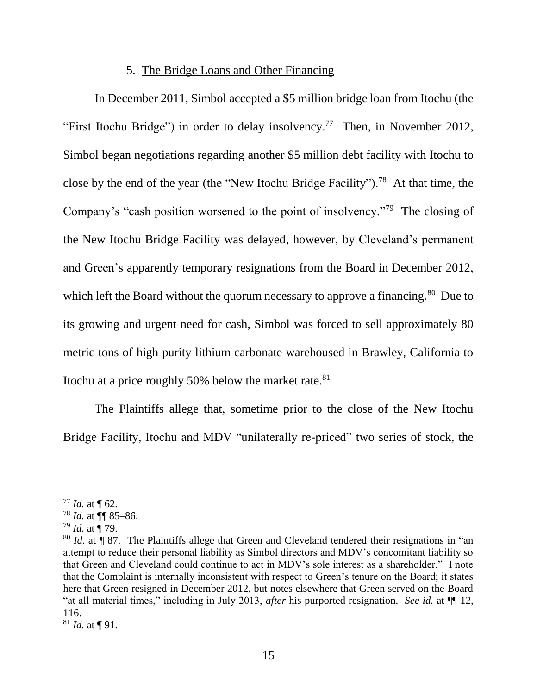### <span id="page-16-0"></span>5. The Bridge Loans and Other Financing

In December 2011, Simbol accepted a \$5 million bridge loan from Itochu (the "First Itochu Bridge") in order to delay insolvency.<sup>77</sup> Then, in November 2012, Simbol began negotiations regarding another \$5 million debt facility with Itochu to close by the end of the year (the "New Itochu Bridge Facility").<sup>78</sup> At that time, the Company's "cash position worsened to the point of insolvency."<sup>79</sup> The closing of the New Itochu Bridge Facility was delayed, however, by Cleveland's permanent and Green's apparently temporary resignations from the Board in December 2012, which left the Board without the quorum necessary to approve a financing.<sup>80</sup> Due to its growing and urgent need for cash, Simbol was forced to sell approximately 80 metric tons of high purity lithium carbonate warehoused in Brawley, California to Itochu at a price roughly 50% below the market rate. $81$ 

The Plaintiffs allege that, sometime prior to the close of the New Itochu Bridge Facility, Itochu and MDV "unilaterally re-priced" two series of stock, the

 $77$  *Id.* at  $\P$  62.

<sup>78</sup> *Id.* at ¶¶ 85–86.

<sup>79</sup> *Id.* at ¶ 79.

<sup>80</sup> *Id.* at ¶ 87. The Plaintiffs allege that Green and Cleveland tendered their resignations in "an attempt to reduce their personal liability as Simbol directors and MDV's concomitant liability so that Green and Cleveland could continue to act in MDV's sole interest as a shareholder." I note that the Complaint is internally inconsistent with respect to Green's tenure on the Board; it states here that Green resigned in December 2012, but notes elsewhere that Green served on the Board "at all material times," including in July 2013, *after* his purported resignation. *See id.* at ¶¶ 12, 116.

<sup>81</sup> *Id.* at ¶ 91.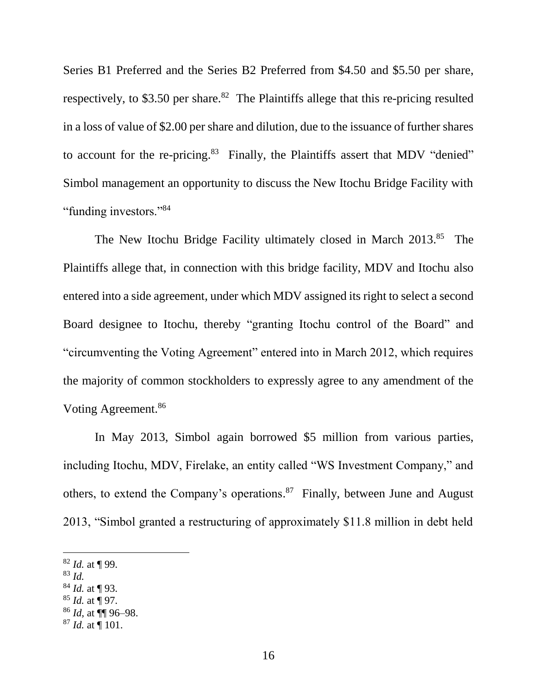Series B1 Preferred and the Series B2 Preferred from \$4.50 and \$5.50 per share, respectively, to \$3.50 per share.<sup>82</sup> The Plaintiffs allege that this re-pricing resulted in a loss of value of \$2.00 per share and dilution, due to the issuance of further shares to account for the re-pricing. $83$  Finally, the Plaintiffs assert that MDV "denied" Simbol management an opportunity to discuss the New Itochu Bridge Facility with "funding investors."<sup>84</sup>

The New Itochu Bridge Facility ultimately closed in March 2013.<sup>85</sup> The Plaintiffs allege that, in connection with this bridge facility, MDV and Itochu also entered into a side agreement, under which MDV assigned its right to select a second Board designee to Itochu, thereby "granting Itochu control of the Board" and "circumventing the Voting Agreement" entered into in March 2012, which requires the majority of common stockholders to expressly agree to any amendment of the Voting Agreement.<sup>86</sup>

In May 2013, Simbol again borrowed \$5 million from various parties, including Itochu, MDV, Firelake, an entity called "WS Investment Company," and others, to extend the Company's operations.<sup>87</sup> Finally, between June and August 2013, "Simbol granted a restructuring of approximately \$11.8 million in debt held

<sup>82</sup> *Id.* at ¶ 99.

<sup>83</sup> *Id.*

<sup>84</sup> *Id.* at ¶ 93.

<sup>85</sup> *Id.* at ¶ 97.

<sup>86</sup> *Id,* at ¶¶ 96–98.

<sup>87</sup> *Id.* at ¶ 101.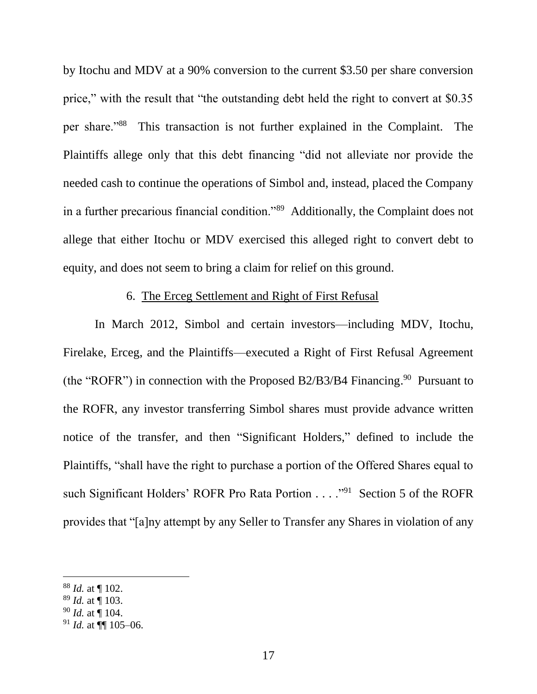by Itochu and MDV at a 90% conversion to the current \$3.50 per share conversion price," with the result that "the outstanding debt held the right to convert at \$0.35 per share."<sup>88</sup> This transaction is not further explained in the Complaint. The Plaintiffs allege only that this debt financing "did not alleviate nor provide the needed cash to continue the operations of Simbol and, instead, placed the Company in a further precarious financial condition."<sup>89</sup> Additionally, the Complaint does not allege that either Itochu or MDV exercised this alleged right to convert debt to equity, and does not seem to bring a claim for relief on this ground.

## 6. The Erceg Settlement and Right of First Refusal

In March 2012, Simbol and certain investors—including MDV, Itochu, Firelake, Erceg, and the Plaintiffs—executed a Right of First Refusal Agreement (the "ROFR") in connection with the Proposed B2/B3/B4 Financing.<sup>90</sup> Pursuant to the ROFR, any investor transferring Simbol shares must provide advance written notice of the transfer, and then "Significant Holders," defined to include the Plaintiffs, "shall have the right to purchase a portion of the Offered Shares equal to such Significant Holders' ROFR Pro Rata Portion . . . . "<sup>91</sup> Section 5 of the ROFR provides that "[a]ny attempt by any Seller to Transfer any Shares in violation of any

<sup>88</sup> *Id.* at ¶ 102.

<sup>89</sup> *Id.* at ¶ 103.

<sup>90</sup> *Id.* at ¶ 104.

 $91$  *Id.* at  $\P\P$  105–06.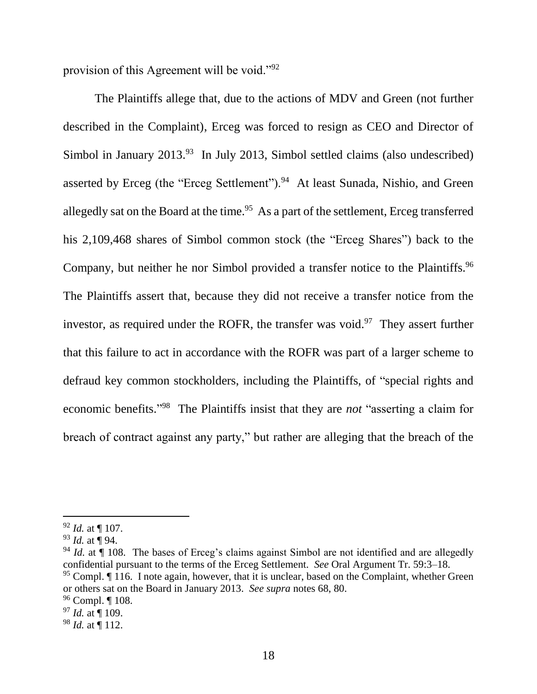provision of this Agreement will be void."<sup>92</sup>

The Plaintiffs allege that, due to the actions of MDV and Green (not further described in the Complaint), Erceg was forced to resign as CEO and Director of Simbol in January  $2013.^{93}$  In July 2013, Simbol settled claims (also undescribed) asserted by Erceg (the "Erceg Settlement").<sup>94</sup> At least Sunada, Nishio, and Green allegedly sat on the Board at the time.<sup>95</sup> As a part of the settlement, Erceg transferred his 2,109,468 shares of Simbol common stock (the "Erceg Shares") back to the Company, but neither he nor Simbol provided a transfer notice to the Plaintiffs.<sup>96</sup> The Plaintiffs assert that, because they did not receive a transfer notice from the investor, as required under the ROFR, the transfer was void.<sup>97</sup> They assert further that this failure to act in accordance with the ROFR was part of a larger scheme to defraud key common stockholders, including the Plaintiffs, of "special rights and economic benefits."<sup>98</sup> The Plaintiffs insist that they are *not* "asserting a claim for breach of contract against any party," but rather are alleging that the breach of the

<sup>92</sup> *Id.* at ¶ 107.

<sup>93</sup> *Id.* at ¶ 94.

<sup>&</sup>lt;sup>94</sup> *Id.* at ¶ 108. The bases of Erceg's claims against Simbol are not identified and are allegedly confidential pursuant to the terms of the Erceg Settlement. *See* Oral Argument Tr. 59:3–18.

 $95$  Compl.  $\P$  116. I note again, however, that it is unclear, based on the Complaint, whether Green or others sat on the Board in January 2013. *See supra* notes [68,](#page-14-0) [80.](#page-16-0)

<sup>96</sup> Compl. ¶ 108.

<sup>97</sup> *Id.* at ¶ 109.

 $98$  *Id.* at  $\overline{9}$  112.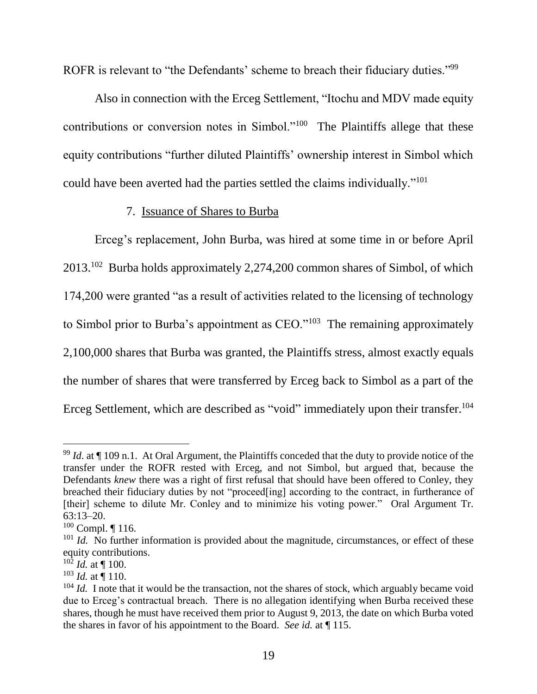ROFR is relevant to "the Defendants' scheme to breach their fiduciary duties."<sup>99</sup>

Also in connection with the Erceg Settlement, "Itochu and MDV made equity contributions or conversion notes in Simbol."<sup>100</sup> The Plaintiffs allege that these equity contributions "further diluted Plaintiffs' ownership interest in Simbol which could have been averted had the parties settled the claims individually."<sup>101</sup>

# <span id="page-20-0"></span>7. Issuance of Shares to Burba

Erceg's replacement, John Burba, was hired at some time in or before April 2013.<sup>102</sup> Burba holds approximately 2,274,200 common shares of Simbol, of which 174,200 were granted "as a result of activities related to the licensing of technology to Simbol prior to Burba's appointment as  $\text{CEO.}^{\text{103}}$  The remaining approximately 2,100,000 shares that Burba was granted, the Plaintiffs stress, almost exactly equals the number of shares that were transferred by Erceg back to Simbol as a part of the Erceg Settlement, which are described as "void" immediately upon their transfer.<sup>104</sup>

 $\overline{a}$  $99$  *Id.* at  $\P$  109 n.1. At Oral Argument, the Plaintiffs conceded that the duty to provide notice of the transfer under the ROFR rested with Erceg, and not Simbol, but argued that, because the Defendants *knew* there was a right of first refusal that should have been offered to Conley, they breached their fiduciary duties by not "proceed[ing] according to the contract, in furtherance of [their] scheme to dilute Mr. Conley and to minimize his voting power." Oral Argument Tr. 63:13–20.

 $100$  Compl.  $\P$  116.

<sup>&</sup>lt;sup>101</sup> *Id.* No further information is provided about the magnitude, circumstances, or effect of these equity contributions.

 $10^{\frac{1}{2}}$  *Id.* at ¶ 100.

 $103$  *Id.* at  $\frac{1}{110}$ .

<sup>&</sup>lt;sup>104</sup> *Id.* I note that it would be the transaction, not the shares of stock, which arguably became void due to Erceg's contractual breach. There is no allegation identifying when Burba received these shares, though he must have received them prior to August 9, 2013, the date on which Burba voted the shares in favor of his appointment to the Board. *See id.* at ¶ 115.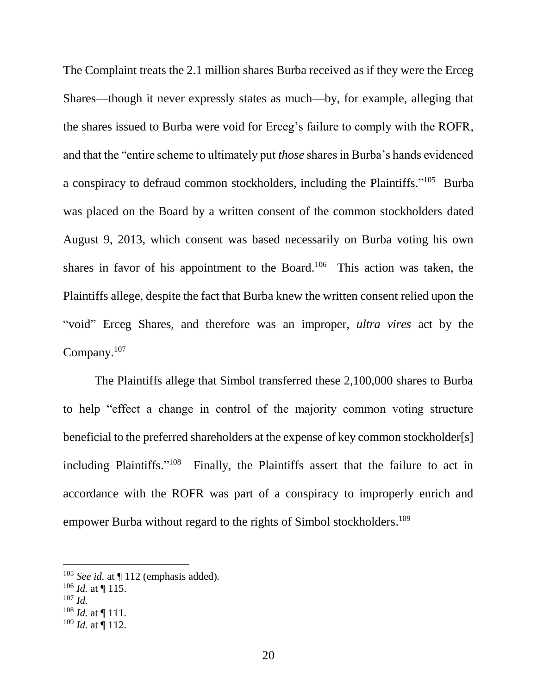<span id="page-21-0"></span>The Complaint treats the 2.1 million shares Burba received as if they were the Erceg Shares—though it never expressly states as much—by, for example, alleging that the shares issued to Burba were void for Erceg's failure to comply with the ROFR, and that the "entire scheme to ultimately put *those* shares in Burba's hands evidenced a conspiracy to defraud common stockholders, including the Plaintiffs."<sup>105</sup> Burba was placed on the Board by a written consent of the common stockholders dated August 9, 2013, which consent was based necessarily on Burba voting his own shares in favor of his appointment to the Board.<sup>106</sup> This action was taken, the Plaintiffs allege, despite the fact that Burba knew the written consent relied upon the "void" Erceg Shares, and therefore was an improper, *ultra vires* act by the Company.<sup>107</sup>

The Plaintiffs allege that Simbol transferred these 2,100,000 shares to Burba to help "effect a change in control of the majority common voting structure beneficial to the preferred shareholders at the expense of key common stockholder[s] including Plaintiffs."<sup>108</sup> Finally, the Plaintiffs assert that the failure to act in accordance with the ROFR was part of a conspiracy to improperly enrich and empower Burba without regard to the rights of Simbol stockholders.<sup>109</sup>

- $106$  *Id.* at  $\P$  115.
- <sup>107</sup> *Id.*

 $\overline{a}$ 

 $108$  *Id.* at  $\P$  111.

<sup>105</sup> *See id.* at ¶ 112 (emphasis added)*.*

 $109$  *Id.* at  $\P$  112.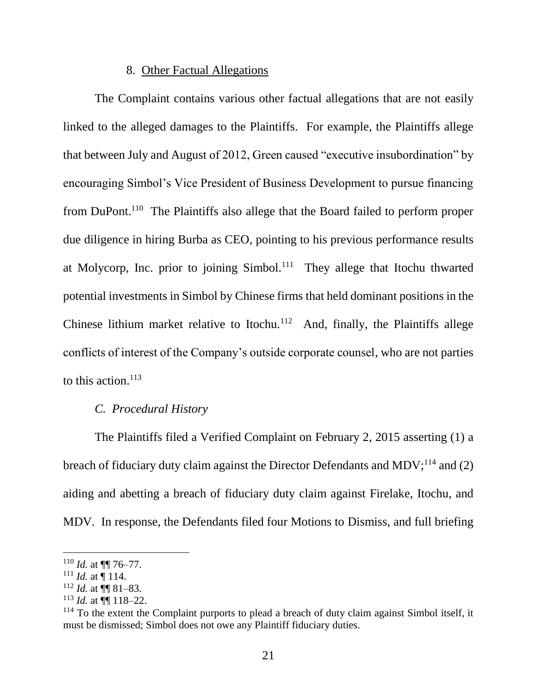### 8. Other Factual Allegations

The Complaint contains various other factual allegations that are not easily linked to the alleged damages to the Plaintiffs. For example, the Plaintiffs allege that between July and August of 2012, Green caused "executive insubordination" by encouraging Simbol's Vice President of Business Development to pursue financing from DuPont.<sup>110</sup> The Plaintiffs also allege that the Board failed to perform proper due diligence in hiring Burba as CEO, pointing to his previous performance results at Molycorp, Inc. prior to joining Simbol.<sup>111</sup> They allege that Itochu thwarted potential investments in Simbol by Chinese firms that held dominant positions in the Chinese lithium market relative to Itochu. $112$  And, finally, the Plaintiffs allege conflicts of interest of the Company's outside corporate counsel, who are not parties to this action. 113

#### *C. Procedural History*

The Plaintiffs filed a Verified Complaint on February 2, 2015 asserting (1) a breach of fiduciary duty claim against the Director Defendants and MDV;<sup>114</sup> and (2) aiding and abetting a breach of fiduciary duty claim against Firelake, Itochu, and MDV. In response, the Defendants filed four Motions to Dismiss, and full briefing

 $110$  *Id.* at  $\P\P$  76–77.

 $111$  *Id.* at  $\frac{1}{114}$ .

 $112$  *Id.* at  $\P\P$  81–83.

 $113$  *Id.* at  $\P\P$  118–22.

 $114$  To the extent the Complaint purports to plead a breach of duty claim against Simbol itself, it must be dismissed; Simbol does not owe any Plaintiff fiduciary duties.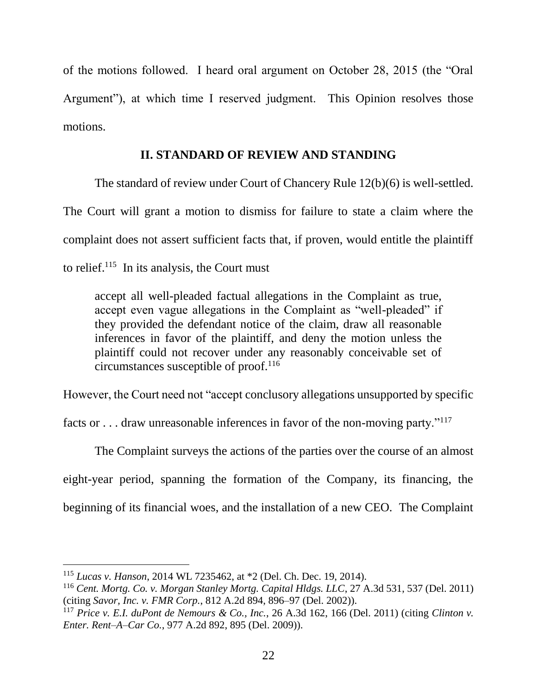of the motions followed. I heard oral argument on October 28, 2015 (the "Oral Argument"), at which time I reserved judgment. This Opinion resolves those motions.

## **II. STANDARD OF REVIEW AND STANDING**

The standard of review under Court of Chancery Rule 12(b)(6) is well-settled. The Court will grant a motion to dismiss for failure to state a claim where the complaint does not assert sufficient facts that, if proven, would entitle the plaintiff to relief.<sup>115</sup> In its analysis, the Court must

accept all well-pleaded factual allegations in the Complaint as true, accept even vague allegations in the Complaint as "well-pleaded" if they provided the defendant notice of the claim, draw all reasonable inferences in favor of the plaintiff, and deny the motion unless the plaintiff could not recover under any reasonably conceivable set of circumstances susceptible of proof.<sup>116</sup>

However, the Court need not "accept conclusory allegations unsupported by specific

facts or . . . draw unreasonable inferences in favor of the non-moving party."<sup>117</sup>

The Complaint surveys the actions of the parties over the course of an almost eight-year period, spanning the formation of the Company, its financing, the beginning of its financial woes, and the installation of a new CEO. The Complaint

<sup>115</sup> *Lucas v. Hanson*, 2014 WL 7235462, at \*2 (Del. Ch. Dec. 19, 2014).

<sup>116</sup> *Cent. Mortg. Co. v. Morgan Stanley Mortg. Capital Hldgs. LLC*, 27 A.3d 531, 537 (Del. 2011) (citing *Savor, Inc. v. FMR Corp.*, 812 A.2d 894, 896–97 (Del. 2002)).

<sup>117</sup> *Price v. E.I. duPont de Nemours & Co., Inc.*, 26 A.3d 162, 166 (Del. 2011) (citing *Clinton v. Enter. Rent–A–Car Co.*, 977 A.2d 892, 895 (Del. 2009)).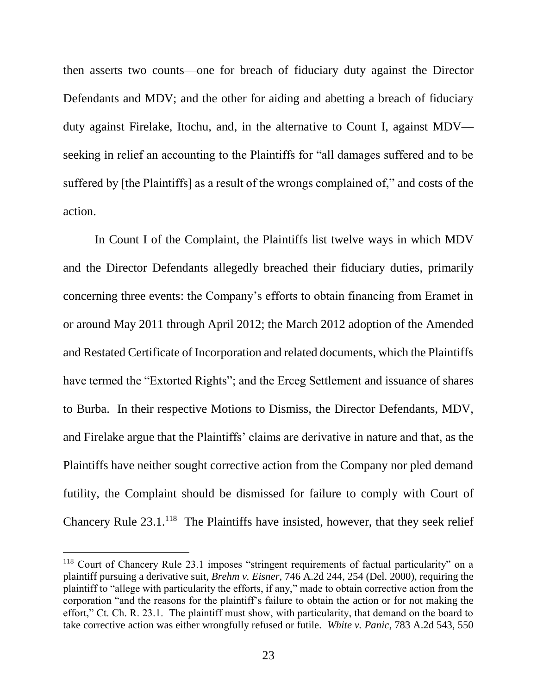then asserts two counts—one for breach of fiduciary duty against the Director Defendants and MDV; and the other for aiding and abetting a breach of fiduciary duty against Firelake, Itochu, and, in the alternative to Count I, against MDV seeking in relief an accounting to the Plaintiffs for "all damages suffered and to be suffered by [the Plaintiffs] as a result of the wrongs complained of," and costs of the action.

In Count I of the Complaint, the Plaintiffs list twelve ways in which MDV and the Director Defendants allegedly breached their fiduciary duties, primarily concerning three events: the Company's efforts to obtain financing from Eramet in or around May 2011 through April 2012; the March 2012 adoption of the Amended and Restated Certificate of Incorporation and related documents, which the Plaintiffs have termed the "Extorted Rights"; and the Erceg Settlement and issuance of shares to Burba. In their respective Motions to Dismiss, the Director Defendants, MDV, and Firelake argue that the Plaintiffs' claims are derivative in nature and that, as the Plaintiffs have neither sought corrective action from the Company nor pled demand futility, the Complaint should be dismissed for failure to comply with Court of Chancery Rule  $23.1$ <sup>118</sup> The Plaintiffs have insisted, however, that they seek relief

<sup>&</sup>lt;sup>118</sup> Court of Chancery Rule 23.1 imposes "stringent requirements of factual particularity" on a plaintiff pursuing a derivative suit, *Brehm v. Eisner*, 746 A.2d 244, 254 (Del. 2000), requiring the plaintiff to "allege with particularity the efforts, if any," made to obtain corrective action from the corporation "and the reasons for the plaintiff's failure to obtain the action or for not making the effort," Ct. Ch. R. 23.1. The plaintiff must show, with particularity, that demand on the board to take corrective action was either wrongfully refused or futile. *White v. Panic*, 783 A.2d 543, 550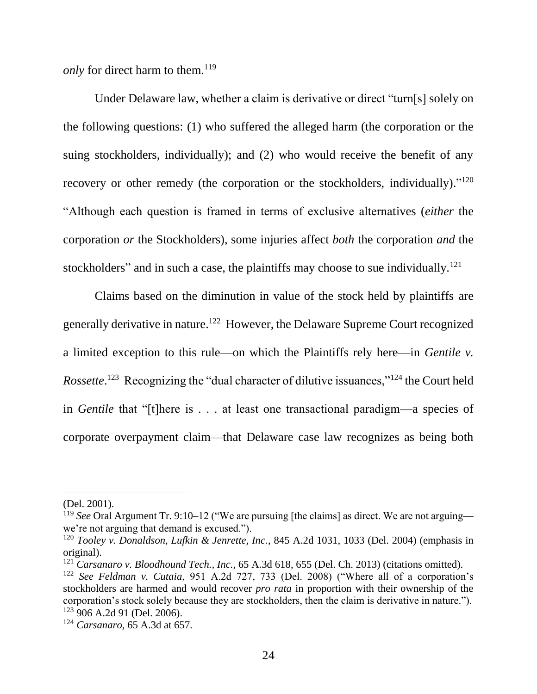*only* for direct harm to them. 119

Under Delaware law, whether a claim is derivative or direct "turn[s] solely on the following questions: (1) who suffered the alleged harm (the corporation or the suing stockholders, individually); and (2) who would receive the benefit of any recovery or other remedy (the corporation or the stockholders, individually)."<sup>120</sup> "Although each question is framed in terms of exclusive alternatives (*either* the corporation *or* the Stockholders), some injuries affect *both* the corporation *and* the stockholders" and in such a case, the plaintiffs may choose to sue individually.<sup>121</sup>

Claims based on the diminution in value of the stock held by plaintiffs are generally derivative in nature.<sup>122</sup> However, the Delaware Supreme Court recognized a limited exception to this rule—on which the Plaintiffs rely here—in *Gentile v.*  Rossette.<sup>123</sup> Recognizing the "dual character of dilutive issuances,"<sup>124</sup> the Court held in *Gentile* that "[t]here is . . . at least one transactional paradigm—a species of corporate overpayment claim—that Delaware case law recognizes as being both

<sup>(</sup>Del. 2001).

<sup>119</sup> *See* Oral Argument Tr. 9:10–12 ("We are pursuing [the claims] as direct. We are not arguing we're not arguing that demand is excused.").

<sup>120</sup> *Tooley v. Donaldson, Lufkin & Jenrette, Inc.*, 845 A.2d 1031, 1033 (Del. 2004) (emphasis in original).

<sup>121</sup> *Carsanaro v. Bloodhound Tech., Inc.*, 65 A.3d 618, 655 (Del. Ch. 2013) (citations omitted).

<sup>122</sup> *See Feldman v. Cutaia*, 951 A.2d 727, 733 (Del. 2008) ("Where all of a corporation's stockholders are harmed and would recover *pro rata* in proportion with their ownership of the corporation's stock solely because they are stockholders, then the claim is derivative in nature."). <sup>123</sup> 906 A.2d 91 (Del. 2006).

<sup>124</sup> *Carsanaro*, 65 A.3d at 657.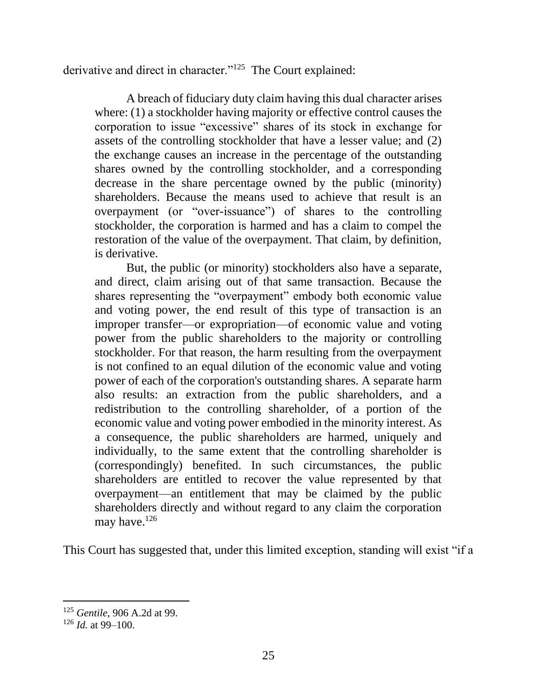derivative and direct in character."<sup>125</sup> The Court explained:

A breach of fiduciary duty claim having this dual character arises where: (1) a stockholder having majority or effective control causes the corporation to issue "excessive" shares of its stock in exchange for assets of the controlling stockholder that have a lesser value; and (2) the exchange causes an increase in the percentage of the outstanding shares owned by the controlling stockholder, and a corresponding decrease in the share percentage owned by the public (minority) shareholders. Because the means used to achieve that result is an overpayment (or "over-issuance") of shares to the controlling stockholder, the corporation is harmed and has a claim to compel the restoration of the value of the overpayment. That claim, by definition, is derivative.

But, the public (or minority) stockholders also have a separate, and direct, claim arising out of that same transaction. Because the shares representing the "overpayment" embody both economic value and voting power, the end result of this type of transaction is an improper transfer—or expropriation—of economic value and voting power from the public shareholders to the majority or controlling stockholder. For that reason, the harm resulting from the overpayment is not confined to an equal dilution of the economic value and voting power of each of the corporation's outstanding shares. A separate harm also results: an extraction from the public shareholders, and a redistribution to the controlling shareholder, of a portion of the economic value and voting power embodied in the minority interest. As a consequence, the public shareholders are harmed, uniquely and individually, to the same extent that the controlling shareholder is (correspondingly) benefited. In such circumstances, the public shareholders are entitled to recover the value represented by that overpayment—an entitlement that may be claimed by the public shareholders directly and without regard to any claim the corporation may have.<sup>126</sup>

This Court has suggested that, under this limited exception, standing will exist "if a

<sup>125</sup> *Gentile*, 906 A.2d at 99.

 $126$  *Id.* at 99–100.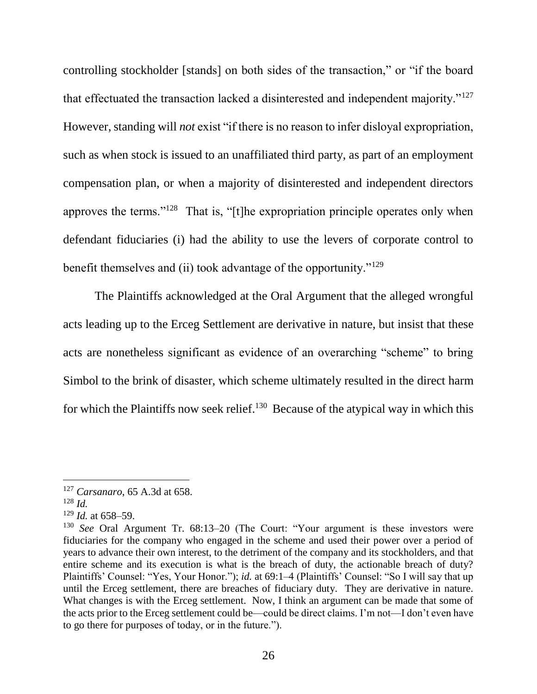controlling stockholder [stands] on both sides of the transaction," or "if the board that effectuated the transaction lacked a disinterested and independent majority."<sup>127</sup> However, standing will *not* exist "if there is no reason to infer disloyal expropriation, such as when stock is issued to an unaffiliated third party, as part of an employment compensation plan, or when a majority of disinterested and independent directors approves the terms."<sup>128</sup> That is, "[t]he expropriation principle operates only when defendant fiduciaries (i) had the ability to use the levers of corporate control to benefit themselves and (ii) took advantage of the opportunity."<sup>129</sup>

The Plaintiffs acknowledged at the Oral Argument that the alleged wrongful acts leading up to the Erceg Settlement are derivative in nature, but insist that these acts are nonetheless significant as evidence of an overarching "scheme" to bring Simbol to the brink of disaster, which scheme ultimately resulted in the direct harm for which the Plaintiffs now seek relief.<sup>130</sup> Because of the atypical way in which this

<sup>127</sup> *Carsanaro*, 65 A.3d at 658.

<sup>128</sup> *Id.*

 $129$  *Id.* at 658–59.

<sup>130</sup> *See* Oral Argument Tr. 68:13–20 (The Court: "Your argument is these investors were fiduciaries for the company who engaged in the scheme and used their power over a period of years to advance their own interest, to the detriment of the company and its stockholders, and that entire scheme and its execution is what is the breach of duty, the actionable breach of duty? Plaintiffs' Counsel: "Yes, Your Honor."); *id.* at 69:1–4 (Plaintiffs' Counsel: "So I will say that up until the Erceg settlement, there are breaches of fiduciary duty. They are derivative in nature. What changes is with the Erceg settlement. Now, I think an argument can be made that some of the acts prior to the Erceg settlement could be—could be direct claims. I'm not—I don't even have to go there for purposes of today, or in the future.").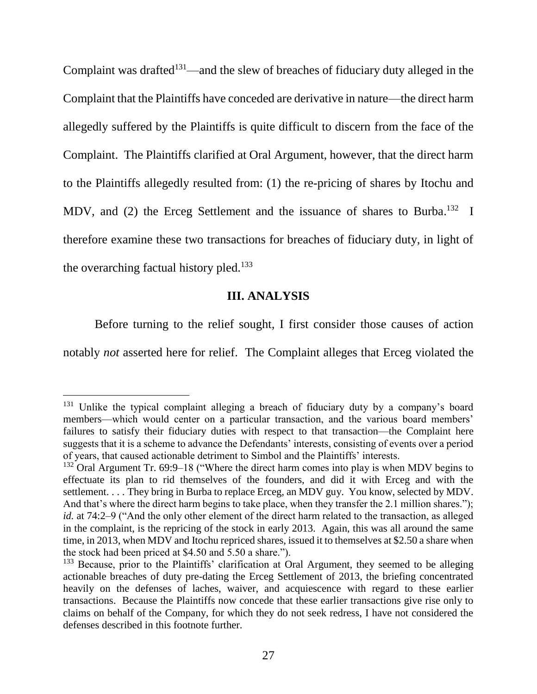Complaint was drafted $131$ —and the slew of breaches of fiduciary duty alleged in the Complaint that the Plaintiffs have conceded are derivative in nature—the direct harm allegedly suffered by the Plaintiffs is quite difficult to discern from the face of the Complaint. The Plaintiffs clarified at Oral Argument, however, that the direct harm to the Plaintiffs allegedly resulted from: (1) the re-pricing of shares by Itochu and MDV, and (2) the Erceg Settlement and the issuance of shares to Burba.<sup>132</sup> I therefore examine these two transactions for breaches of fiduciary duty, in light of the overarching factual history pled.<sup>133</sup>

### **III. ANALYSIS**

Before turning to the relief sought, I first consider those causes of action

notably *not* asserted here for relief. The Complaint alleges that Erceg violated the

<sup>&</sup>lt;sup>131</sup> Unlike the typical complaint alleging a breach of fiduciary duty by a company's board members—which would center on a particular transaction, and the various board members' failures to satisfy their fiduciary duties with respect to that transaction—the Complaint here suggests that it is a scheme to advance the Defendants' interests, consisting of events over a period of years, that caused actionable detriment to Simbol and the Plaintiffs' interests.

<sup>&</sup>lt;sup>132</sup> Oral Argument Tr. 69:9–18 ("Where the direct harm comes into play is when MDV begins to effectuate its plan to rid themselves of the founders, and did it with Erceg and with the settlement. . . . They bring in Burba to replace Erceg, an MDV guy. You know, selected by MDV. And that's where the direct harm begins to take place, when they transfer the 2.1 million shares."); *id.* at 74:2–9 ("And the only other element of the direct harm related to the transaction, as alleged in the complaint, is the repricing of the stock in early 2013. Again, this was all around the same time, in 2013, when MDV and Itochu repriced shares, issued it to themselves at \$2.50 a share when the stock had been priced at \$4.50 and 5.50 a share.").

<sup>&</sup>lt;sup>133</sup> Because, prior to the Plaintiffs' clarification at Oral Argument, they seemed to be alleging actionable breaches of duty pre-dating the Erceg Settlement of 2013, the briefing concentrated heavily on the defenses of laches, waiver, and acquiescence with regard to these earlier transactions. Because the Plaintiffs now concede that these earlier transactions give rise only to claims on behalf of the Company, for which they do not seek redress, I have not considered the defenses described in this footnote further.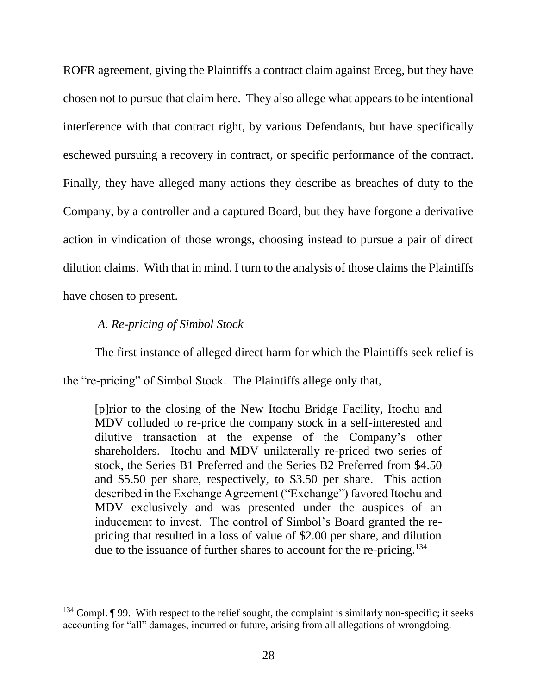ROFR agreement, giving the Plaintiffs a contract claim against Erceg, but they have chosen not to pursue that claim here. They also allege what appears to be intentional interference with that contract right, by various Defendants, but have specifically eschewed pursuing a recovery in contract, or specific performance of the contract. Finally, they have alleged many actions they describe as breaches of duty to the Company, by a controller and a captured Board, but they have forgone a derivative action in vindication of those wrongs, choosing instead to pursue a pair of direct dilution claims. With that in mind, I turn to the analysis of those claims the Plaintiffs have chosen to present.

## *A. Re-pricing of Simbol Stock*

l

The first instance of alleged direct harm for which the Plaintiffs seek relief is the "re-pricing" of Simbol Stock. The Plaintiffs allege only that,

[p]rior to the closing of the New Itochu Bridge Facility, Itochu and MDV colluded to re-price the company stock in a self-interested and dilutive transaction at the expense of the Company's other shareholders. Itochu and MDV unilaterally re-priced two series of stock, the Series B1 Preferred and the Series B2 Preferred from \$4.50 and \$5.50 per share, respectively, to \$3.50 per share. This action described in the Exchange Agreement ("Exchange") favored Itochu and MDV exclusively and was presented under the auspices of an inducement to invest. The control of Simbol's Board granted the repricing that resulted in a loss of value of \$2.00 per share, and dilution due to the issuance of further shares to account for the re-pricing.<sup>134</sup>

 $134$  Compl. ¶ 99. With respect to the relief sought, the complaint is similarly non-specific; it seeks accounting for "all" damages, incurred or future, arising from all allegations of wrongdoing.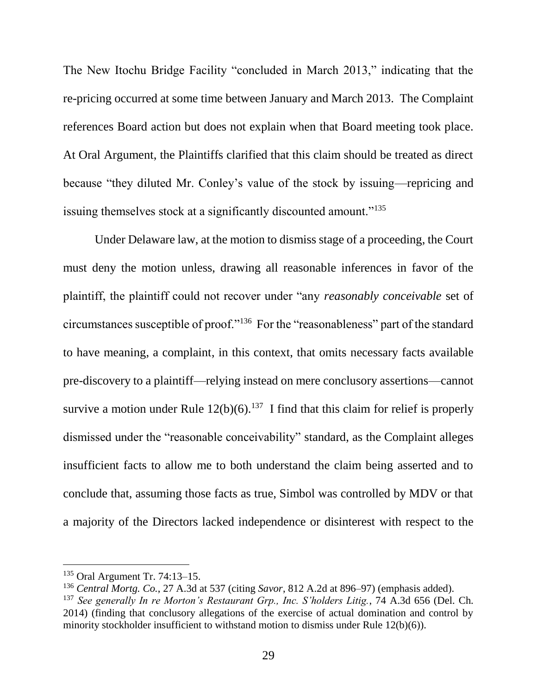The New Itochu Bridge Facility "concluded in March 2013," indicating that the re-pricing occurred at some time between January and March 2013. The Complaint references Board action but does not explain when that Board meeting took place. At Oral Argument, the Plaintiffs clarified that this claim should be treated as direct because "they diluted Mr. Conley's value of the stock by issuing—repricing and issuing themselves stock at a significantly discounted amount."<sup>135</sup>

Under Delaware law, at the motion to dismiss stage of a proceeding, the Court must deny the motion unless, drawing all reasonable inferences in favor of the plaintiff, the plaintiff could not recover under "any *reasonably conceivable* set of circumstances susceptible of proof."<sup>136</sup> For the "reasonableness" part of the standard to have meaning, a complaint, in this context, that omits necessary facts available pre-discovery to a plaintiff—relying instead on mere conclusory assertions—cannot survive a motion under Rule  $12(b)(6)$ .<sup>137</sup> I find that this claim for relief is properly dismissed under the "reasonable conceivability" standard, as the Complaint alleges insufficient facts to allow me to both understand the claim being asserted and to conclude that, assuming those facts as true, Simbol was controlled by MDV or that a majority of the Directors lacked independence or disinterest with respect to the

<sup>135</sup> Oral Argument Tr. 74:13–15.

<sup>136</sup> *Central Mortg. Co.*, 27 A.3d at 537 (citing *Savor*, 812 A.2d at 896–97) (emphasis added).

<sup>137</sup> *See generally In re Morton's Restaurant Grp., Inc. S'holders Litig.*, 74 A.3d 656 (Del. Ch. 2014) (finding that conclusory allegations of the exercise of actual domination and control by minority stockholder insufficient to withstand motion to dismiss under Rule 12(b)(6)).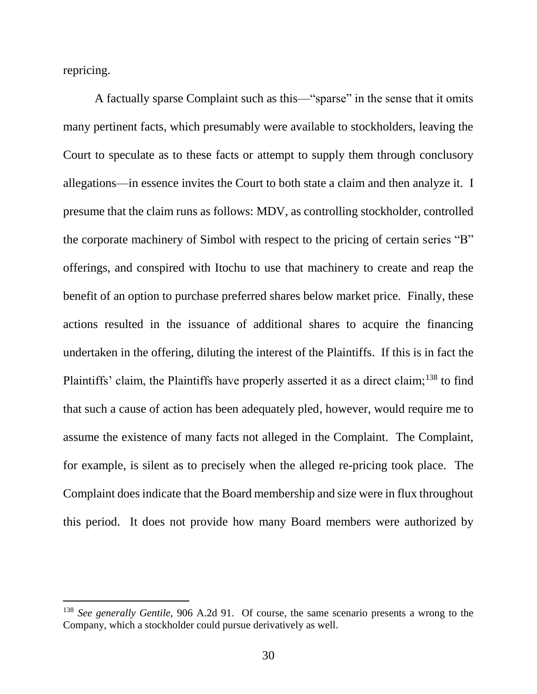repricing.

l

A factually sparse Complaint such as this—"sparse" in the sense that it omits many pertinent facts, which presumably were available to stockholders, leaving the Court to speculate as to these facts or attempt to supply them through conclusory allegations—in essence invites the Court to both state a claim and then analyze it. I presume that the claim runs as follows: MDV, as controlling stockholder, controlled the corporate machinery of Simbol with respect to the pricing of certain series "B" offerings, and conspired with Itochu to use that machinery to create and reap the benefit of an option to purchase preferred shares below market price. Finally, these actions resulted in the issuance of additional shares to acquire the financing undertaken in the offering, diluting the interest of the Plaintiffs. If this is in fact the Plaintiffs' claim, the Plaintiffs have properly asserted it as a direct claim;<sup>138</sup> to find that such a cause of action has been adequately pled, however, would require me to assume the existence of many facts not alleged in the Complaint. The Complaint, for example, is silent as to precisely when the alleged re-pricing took place. The Complaint does indicate that the Board membership and size were in flux throughout this period. It does not provide how many Board members were authorized by

<sup>138</sup> *See generally Gentile*, 906 A.2d 91. Of course, the same scenario presents a wrong to the Company, which a stockholder could pursue derivatively as well.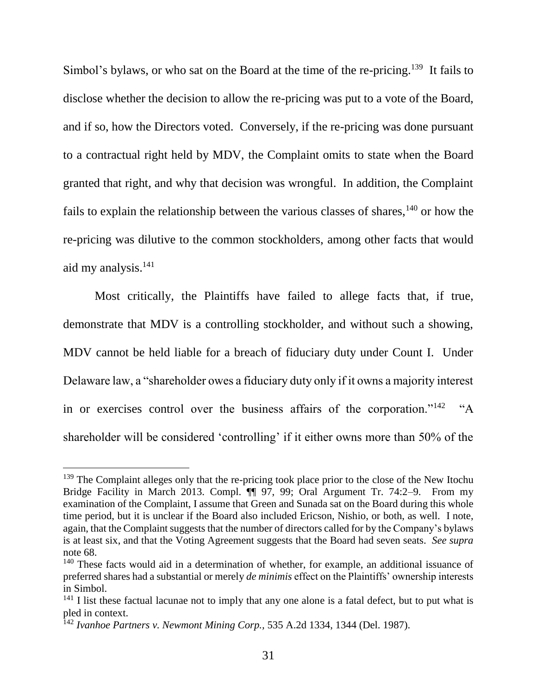<span id="page-32-0"></span>Simbol's bylaws, or who sat on the Board at the time of the re-pricing.<sup>139</sup> It fails to disclose whether the decision to allow the re-pricing was put to a vote of the Board, and if so, how the Directors voted. Conversely, if the re-pricing was done pursuant to a contractual right held by MDV, the Complaint omits to state when the Board granted that right, and why that decision was wrongful. In addition, the Complaint fails to explain the relationship between the various classes of shares,  $140$  or how the re-pricing was dilutive to the common stockholders, among other facts that would aid my analysis.<sup>141</sup>

Most critically, the Plaintiffs have failed to allege facts that, if true, demonstrate that MDV is a controlling stockholder, and without such a showing, MDV cannot be held liable for a breach of fiduciary duty under Count I. Under Delaware law, a "shareholder owes a fiduciary duty only if it owns a majority interest in or exercises control over the business affairs of the corporation."<sup>142</sup> "A shareholder will be considered 'controlling' if it either owns more than 50% of the

<sup>&</sup>lt;sup>139</sup> The Complaint alleges only that the re-pricing took place prior to the close of the New Itochu Bridge Facility in March 2013. Compl. ¶¶ 97, 99; Oral Argument Tr. 74:2–9. From my examination of the Complaint, I assume that Green and Sunada sat on the Board during this whole time period, but it is unclear if the Board also included Ericson, Nishio, or both, as well. I note, again, that the Complaint suggests that the number of directors called for by the Company's bylaws is at least six, and that the Voting Agreement suggests that the Board had seven seats. *See supra*  note [68.](#page-14-0)

<sup>&</sup>lt;sup>140</sup> These facts would aid in a determination of whether, for example, an additional issuance of preferred shares had a substantial or merely *de minimis* effect on the Plaintiffs' ownership interests in Simbol.

 $141$  I list these factual lacunae not to imply that any one alone is a fatal defect, but to put what is pled in context.

<sup>142</sup> *Ivanhoe Partners v. Newmont Mining Corp.,* 535 A.2d 1334, 1344 (Del. 1987).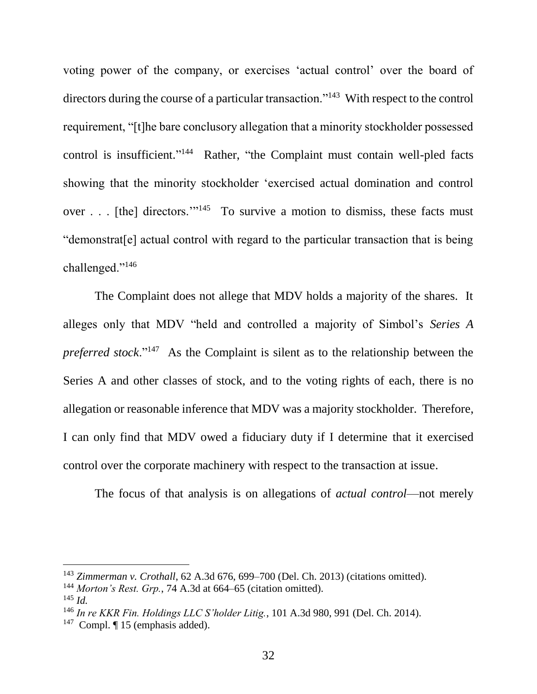voting power of the company, or exercises 'actual control' over the board of directors during the course of a particular transaction."<sup>143</sup> With respect to the control requirement, "[t]he bare conclusory allegation that a minority stockholder possessed control is insufficient."<sup>144</sup> Rather, "the Complaint must contain well-pled facts showing that the minority stockholder 'exercised actual domination and control over . . . [the] directors."<sup>145</sup> To survive a motion to dismiss, these facts must "demonstrat[e] actual control with regard to the particular transaction that is being challenged."<sup>146</sup>

The Complaint does not allege that MDV holds a majority of the shares. It alleges only that MDV "held and controlled a majority of Simbol's *Series A preferred stock*."<sup>147</sup> As the Complaint is silent as to the relationship between the Series A and other classes of stock, and to the voting rights of each, there is no allegation or reasonable inference that MDV was a majority stockholder. Therefore, I can only find that MDV owed a fiduciary duty if I determine that it exercised control over the corporate machinery with respect to the transaction at issue.

The focus of that analysis is on allegations of *actual control*—not merely

<sup>143</sup> *Zimmerman v. Crothall*, 62 A.3d 676, 699–700 (Del. Ch. 2013) (citations omitted).

<sup>144</sup> *Morton's Rest. Grp.*, 74 A.3d at 664–65 (citation omitted).

<sup>145</sup> *Id.*

<sup>146</sup> *In re KKR Fin. Holdings LLC S'holder Litig.*, 101 A.3d 980, 991 (Del. Ch. 2014).

<sup>&</sup>lt;sup>147</sup> Compl. ¶ 15 (emphasis added).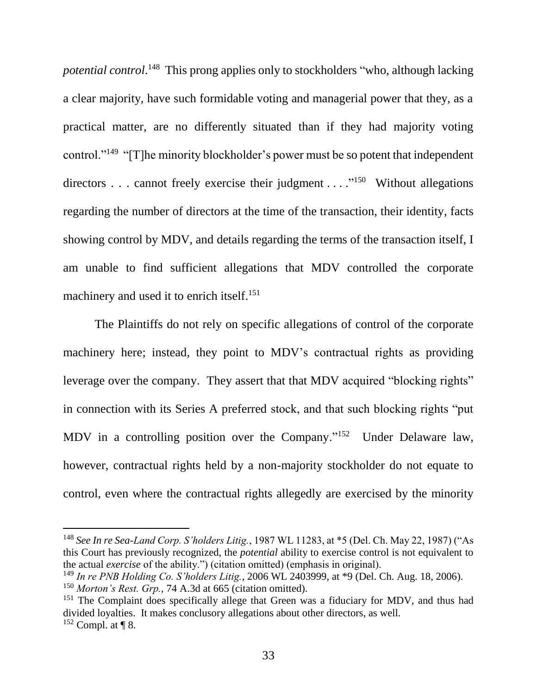potential control.<sup>148</sup> This prong applies only to stockholders "who, although lacking a clear majority, have such formidable voting and managerial power that they, as a practical matter, are no differently situated than if they had majority voting control."<sup>149</sup> "[T]he minority blockholder's power must be so potent that independent directors . . . cannot freely exercise their judgment . . . .<sup>"150</sup> Without allegations regarding the number of directors at the time of the transaction, their identity, facts showing control by MDV, and details regarding the terms of the transaction itself, I am unable to find sufficient allegations that MDV controlled the corporate machinery and used it to enrich itself.<sup>151</sup>

The Plaintiffs do not rely on specific allegations of control of the corporate machinery here; instead, they point to MDV's contractual rights as providing leverage over the company. They assert that that MDV acquired "blocking rights" in connection with its Series A preferred stock, and that such blocking rights "put MDV in a controlling position over the Company."<sup>152</sup> Under Delaware law, however, contractual rights held by a non-majority stockholder do not equate to control, even where the contractual rights allegedly are exercised by the minority

<sup>148</sup> *See In re Sea-Land Corp. S'holders Litig.*, 1987 WL 11283, at \*5 (Del. Ch. May 22, 1987) ("As this Court has previously recognized, the *potential* ability to exercise control is not equivalent to the actual *exercise* of the ability.") (citation omitted) (emphasis in original).

<sup>149</sup> *In re PNB Holding Co. S'holders Litig.*, 2006 WL 2403999, at \*9 (Del. Ch. Aug. 18, 2006).

<sup>150</sup> *Morton's Rest. Grp.*, 74 A.3d at 665 (citation omitted).

<sup>&</sup>lt;sup>151</sup> The Complaint does specifically allege that Green was a fiduciary for MDV, and thus had divided loyalties. It makes conclusory allegations about other directors, as well.  $152$  Compl. at ¶ 8.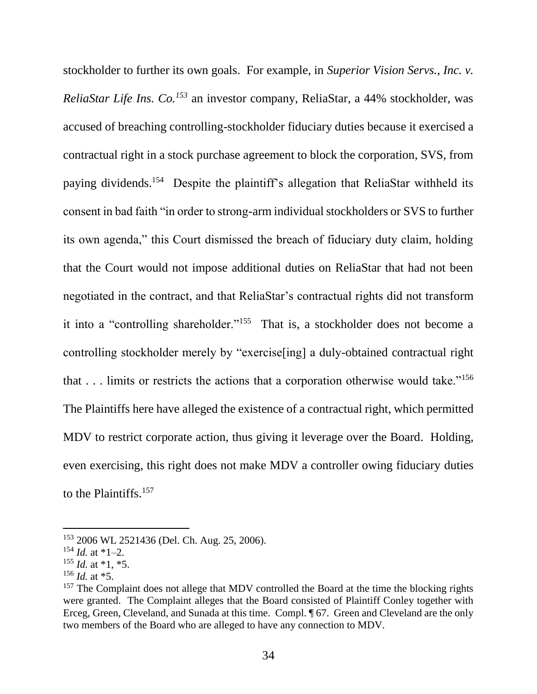stockholder to further its own goals. For example, in *Superior Vision Servs., Inc. v. ReliaStar Life Ins. Co.<sup>153</sup>* an investor company, ReliaStar, a 44% stockholder, was accused of breaching controlling-stockholder fiduciary duties because it exercised a contractual right in a stock purchase agreement to block the corporation, SVS, from paying dividends.<sup>154</sup> Despite the plaintiff's allegation that ReliaStar withheld its consent in bad faith "in order to strong-arm individual stockholders or SVS to further its own agenda," this Court dismissed the breach of fiduciary duty claim, holding that the Court would not impose additional duties on ReliaStar that had not been negotiated in the contract, and that ReliaStar's contractual rights did not transform it into a "controlling shareholder."<sup>155</sup> That is, a stockholder does not become a controlling stockholder merely by "exercise[ing] a duly-obtained contractual right that . . . limits or restricts the actions that a corporation otherwise would take."<sup>156</sup> The Plaintiffs here have alleged the existence of a contractual right, which permitted MDV to restrict corporate action, thus giving it leverage over the Board. Holding, even exercising, this right does not make MDV a controller owing fiduciary duties to the Plaintiffs.<sup>157</sup>

<sup>153</sup> 2006 WL 2521436 (Del. Ch. Aug. 25, 2006).

 $154$  *Id.* at \*1–2.

 $155$  *Id.* at \*1, \*5.

 $156$  *Id.* at  $*5$ .

<sup>&</sup>lt;sup>157</sup> The Complaint does not allege that MDV controlled the Board at the time the blocking rights were granted. The Complaint alleges that the Board consisted of Plaintiff Conley together with Erceg, Green, Cleveland, and Sunada at this time. Compl. ¶ 67. Green and Cleveland are the only two members of the Board who are alleged to have any connection to MDV.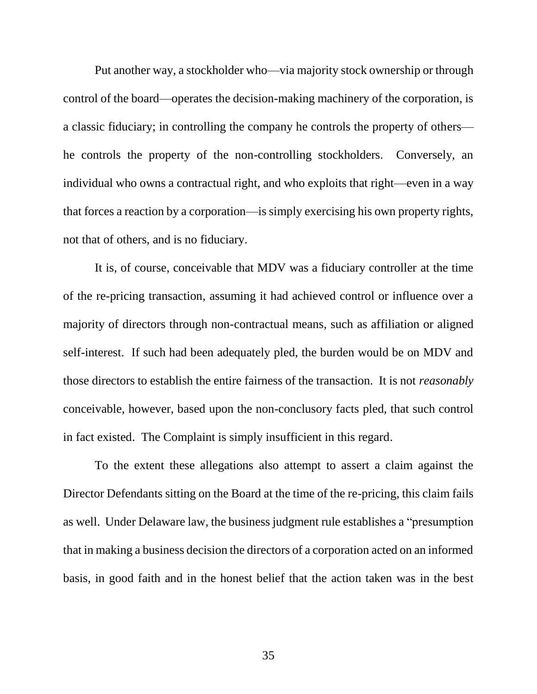Put another way, a stockholder who—via majority stock ownership or through control of the board—operates the decision-making machinery of the corporation, is a classic fiduciary; in controlling the company he controls the property of others he controls the property of the non-controlling stockholders. Conversely, an individual who owns a contractual right, and who exploits that right—even in a way that forces a reaction by a corporation—is simply exercising his own property rights, not that of others, and is no fiduciary.

It is, of course, conceivable that MDV was a fiduciary controller at the time of the re-pricing transaction, assuming it had achieved control or influence over a majority of directors through non-contractual means, such as affiliation or aligned self-interest. If such had been adequately pled, the burden would be on MDV and those directors to establish the entire fairness of the transaction. It is not *reasonably* conceivable, however, based upon the non-conclusory facts pled, that such control in fact existed. The Complaint is simply insufficient in this regard.

To the extent these allegations also attempt to assert a claim against the Director Defendants sitting on the Board at the time of the re-pricing, this claim fails as well. Under Delaware law, the business judgment rule establishes a "presumption that in making a business decision the directors of a corporation acted on an informed basis, in good faith and in the honest belief that the action taken was in the best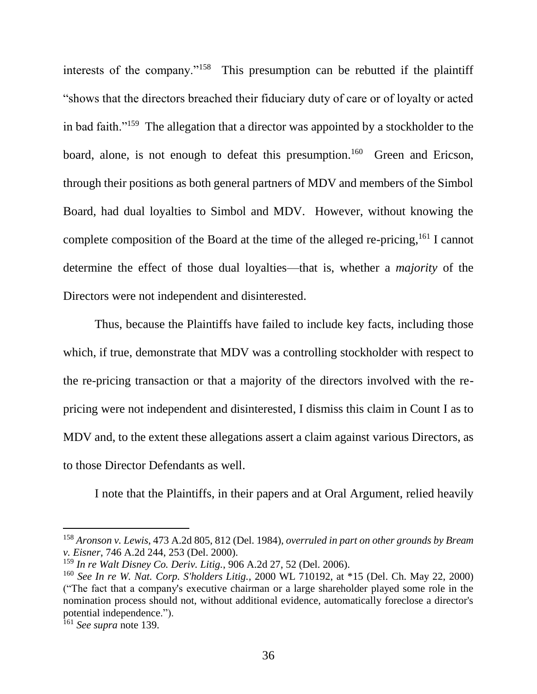interests of the company."<sup>158</sup> This presumption can be rebutted if the plaintiff "shows that the directors breached their fiduciary duty of care or of loyalty or acted in bad faith."<sup>159</sup> The allegation that a director was appointed by a stockholder to the board, alone, is not enough to defeat this presumption.<sup>160</sup> Green and Ericson, through their positions as both general partners of MDV and members of the Simbol Board, had dual loyalties to Simbol and MDV. However, without knowing the complete composition of the Board at the time of the alleged re-pricing,<sup>161</sup> I cannot determine the effect of those dual loyalties—that is, whether a *majority* of the Directors were not independent and disinterested.

Thus, because the Plaintiffs have failed to include key facts, including those which, if true, demonstrate that MDV was a controlling stockholder with respect to the re-pricing transaction or that a majority of the directors involved with the repricing were not independent and disinterested, I dismiss this claim in Count I as to MDV and, to the extent these allegations assert a claim against various Directors, as to those Director Defendants as well.

I note that the Plaintiffs, in their papers and at Oral Argument, relied heavily

<sup>158</sup> *Aronson v. Lewis*, 473 A.2d 805, 812 (Del. 1984), *overruled in part on other grounds by Bream v. Eisner*, 746 A.2d 244, 253 (Del. 2000).

<sup>159</sup> *In re Walt Disney Co. Deriv. Litig.*, 906 A.2d 27, 52 (Del. 2006).

<sup>160</sup> *See In re W. Nat. Corp. S'holders Litig.,* 2000 WL 710192, at \*15 (Del. Ch. May 22, 2000) ("The fact that a company's executive chairman or a large shareholder played some role in the nomination process should not, without additional evidence, automatically foreclose a director's potential independence.").

<sup>161</sup> *See supra* note [139.](#page-32-0)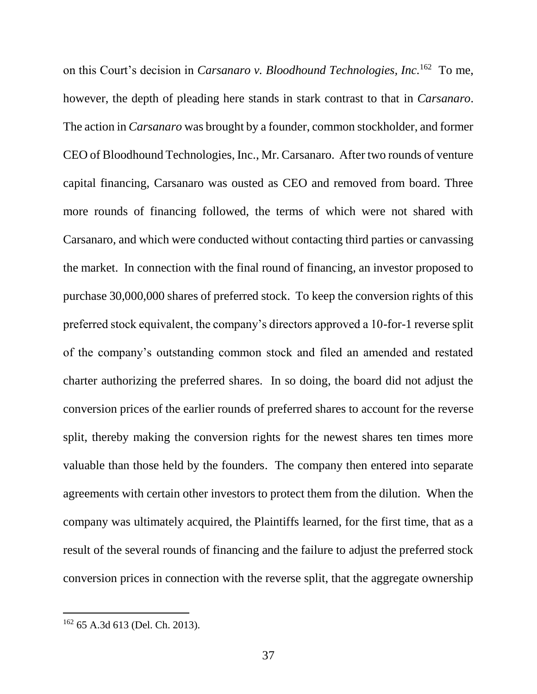on this Court's decision in *Carsanaro v. Bloodhound Technologies, Inc.*<sup>162</sup> To me, however, the depth of pleading here stands in stark contrast to that in *Carsanaro*. The action in *Carsanaro* was brought by a founder, common stockholder, and former CEO of Bloodhound Technologies, Inc., Mr. Carsanaro. After two rounds of venture capital financing, Carsanaro was ousted as CEO and removed from board. Three more rounds of financing followed, the terms of which were not shared with Carsanaro, and which were conducted without contacting third parties or canvassing the market. In connection with the final round of financing, an investor proposed to purchase 30,000,000 shares of preferred stock. To keep the conversion rights of this preferred stock equivalent, the company's directors approved a 10-for-1 reverse split of the company's outstanding common stock and filed an amended and restated charter authorizing the preferred shares. In so doing, the board did not adjust the conversion prices of the earlier rounds of preferred shares to account for the reverse split, thereby making the conversion rights for the newest shares ten times more valuable than those held by the founders. The company then entered into separate agreements with certain other investors to protect them from the dilution. When the company was ultimately acquired, the Plaintiffs learned, for the first time, that as a result of the several rounds of financing and the failure to adjust the preferred stock conversion prices in connection with the reverse split, that the aggregate ownership

<sup>162</sup> 65 A.3d 613 (Del. Ch. 2013).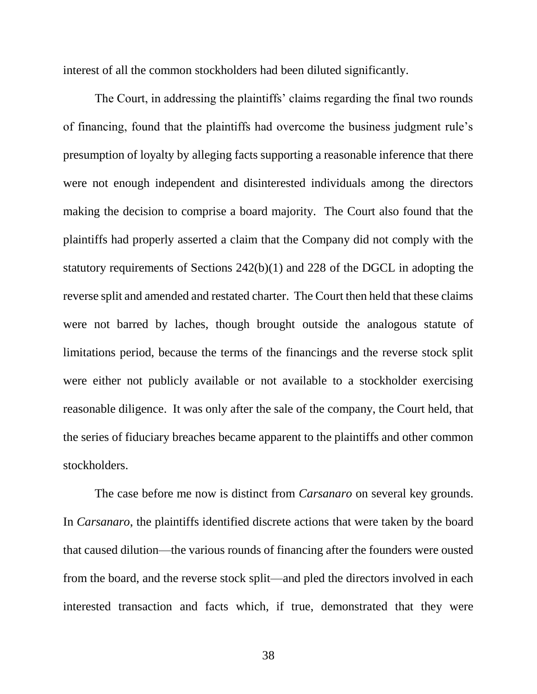interest of all the common stockholders had been diluted significantly.

The Court, in addressing the plaintiffs' claims regarding the final two rounds of financing, found that the plaintiffs had overcome the business judgment rule's presumption of loyalty by alleging facts supporting a reasonable inference that there were not enough independent and disinterested individuals among the directors making the decision to comprise a board majority. The Court also found that the plaintiffs had properly asserted a claim that the Company did not comply with the statutory requirements of Sections 242(b)(1) and 228 of the DGCL in adopting the reverse split and amended and restated charter. The Court then held that these claims were not barred by laches, though brought outside the analogous statute of limitations period, because the terms of the financings and the reverse stock split were either not publicly available or not available to a stockholder exercising reasonable diligence. It was only after the sale of the company, the Court held, that the series of fiduciary breaches became apparent to the plaintiffs and other common stockholders.

The case before me now is distinct from *Carsanaro* on several key grounds. In *Carsanaro*, the plaintiffs identified discrete actions that were taken by the board that caused dilution—the various rounds of financing after the founders were ousted from the board, and the reverse stock split—and pled the directors involved in each interested transaction and facts which, if true, demonstrated that they were

38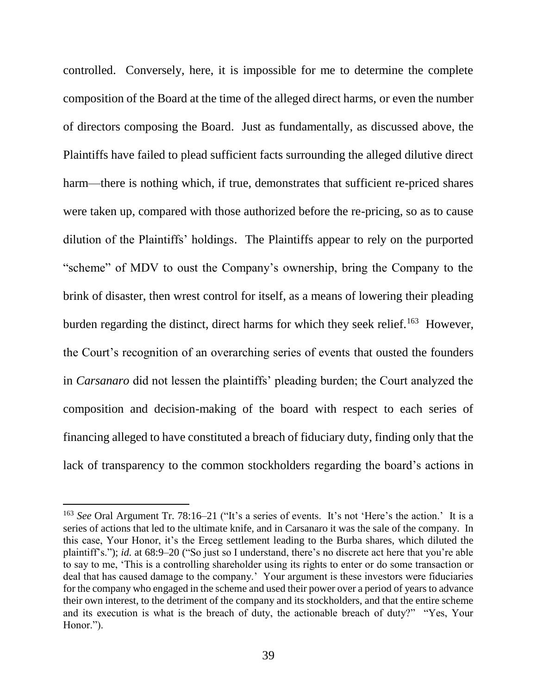controlled. Conversely, here, it is impossible for me to determine the complete composition of the Board at the time of the alleged direct harms, or even the number of directors composing the Board. Just as fundamentally, as discussed above, the Plaintiffs have failed to plead sufficient facts surrounding the alleged dilutive direct harm—there is nothing which, if true, demonstrates that sufficient re-priced shares were taken up, compared with those authorized before the re-pricing, so as to cause dilution of the Plaintiffs' holdings. The Plaintiffs appear to rely on the purported "scheme" of MDV to oust the Company's ownership, bring the Company to the brink of disaster, then wrest control for itself, as a means of lowering their pleading burden regarding the distinct, direct harms for which they seek relief.<sup>163</sup> However, the Court's recognition of an overarching series of events that ousted the founders in *Carsanaro* did not lessen the plaintiffs' pleading burden; the Court analyzed the composition and decision-making of the board with respect to each series of financing alleged to have constituted a breach of fiduciary duty, finding only that the lack of transparency to the common stockholders regarding the board's actions in

<sup>163</sup> *See* Oral Argument Tr. 78:16–21 ("It's a series of events. It's not 'Here's the action.' It is a series of actions that led to the ultimate knife, and in Carsanaro it was the sale of the company. In this case, Your Honor, it's the Erceg settlement leading to the Burba shares, which diluted the plaintiff's."); *id.* at 68:9–20 ("So just so I understand, there's no discrete act here that you're able to say to me, 'This is a controlling shareholder using its rights to enter or do some transaction or deal that has caused damage to the company.' Your argument is these investors were fiduciaries for the company who engaged in the scheme and used their power over a period of years to advance their own interest, to the detriment of the company and its stockholders, and that the entire scheme and its execution is what is the breach of duty, the actionable breach of duty?" "Yes, Your Honor.").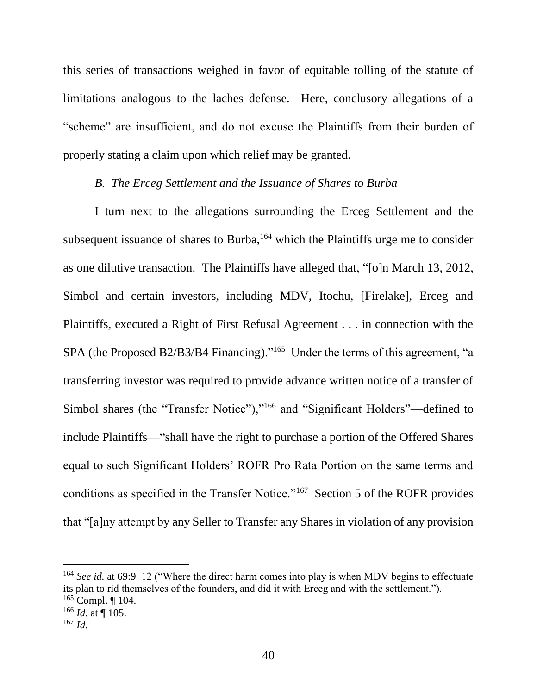this series of transactions weighed in favor of equitable tolling of the statute of limitations analogous to the laches defense. Here, conclusory allegations of a "scheme" are insufficient, and do not excuse the Plaintiffs from their burden of properly stating a claim upon which relief may be granted.

### *B. The Erceg Settlement and the Issuance of Shares to Burba*

I turn next to the allegations surrounding the Erceg Settlement and the subsequent issuance of shares to Burba, $164$  which the Plaintiffs urge me to consider as one dilutive transaction. The Plaintiffs have alleged that, "[o]n March 13, 2012, Simbol and certain investors, including MDV, Itochu, [Firelake], Erceg and Plaintiffs, executed a Right of First Refusal Agreement . . . in connection with the SPA (the Proposed B2/B3/B4 Financing)."<sup>165</sup> Under the terms of this agreement, "a transferring investor was required to provide advance written notice of a transfer of Simbol shares (the "Transfer Notice"),"<sup>166</sup> and "Significant Holders"—defined to include Plaintiffs—"shall have the right to purchase a portion of the Offered Shares equal to such Significant Holders' ROFR Pro Rata Portion on the same terms and conditions as specified in the Transfer Notice."<sup>167</sup> Section 5 of the ROFR provides that "[a]ny attempt by any Seller to Transfer any Shares in violation of any provision

<sup>&</sup>lt;sup>164</sup> See id. at 69:9–12 ("Where the direct harm comes into play is when MDV begins to effectuate its plan to rid themselves of the founders, and did it with Erceg and with the settlement.").

 $165$  Compl. | 104.

 $166$  *Id.* at  $\P$  105.

<sup>167</sup> *Id.*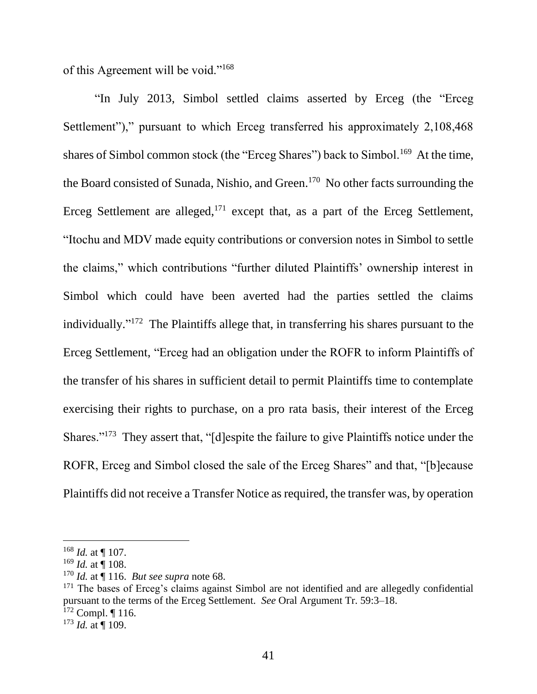of this Agreement will be void."<sup>168</sup>

"In July 2013, Simbol settled claims asserted by Erceg (the "Erceg Settlement")," pursuant to which Erceg transferred his approximately 2,108,468 shares of Simbol common stock (the "Erceg Shares") back to Simbol.<sup>169</sup> At the time, the Board consisted of Sunada, Nishio, and Green.<sup>170</sup> No other facts surrounding the Erceg Settlement are alleged, $171$  except that, as a part of the Erceg Settlement, "Itochu and MDV made equity contributions or conversion notes in Simbol to settle the claims," which contributions "further diluted Plaintiffs' ownership interest in Simbol which could have been averted had the parties settled the claims individually."<sup>172</sup> The Plaintiffs allege that, in transferring his shares pursuant to the Erceg Settlement, "Erceg had an obligation under the ROFR to inform Plaintiffs of the transfer of his shares in sufficient detail to permit Plaintiffs time to contemplate exercising their rights to purchase, on a pro rata basis, their interest of the Erceg Shares."<sup>173</sup> They assert that, "[d]espite the failure to give Plaintiffs notice under the ROFR, Erceg and Simbol closed the sale of the Erceg Shares" and that, "[b]ecause Plaintiffs did not receive a Transfer Notice as required, the transfer was, by operation

<sup>168</sup> *Id.* at ¶ 107.

 $169$  *Id.* at  $\frac{1}{9}$  108.

<sup>170</sup> *Id.* at ¶ 116. *But see supra* note [68.](#page-14-0)

<sup>&</sup>lt;sup>171</sup> The bases of Erceg's claims against Simbol are not identified and are allegedly confidential pursuant to the terms of the Erceg Settlement. *See* Oral Argument Tr. 59:3–18.

 $172$  Compl. | 116.

<sup>173</sup> *Id.* at ¶ 109.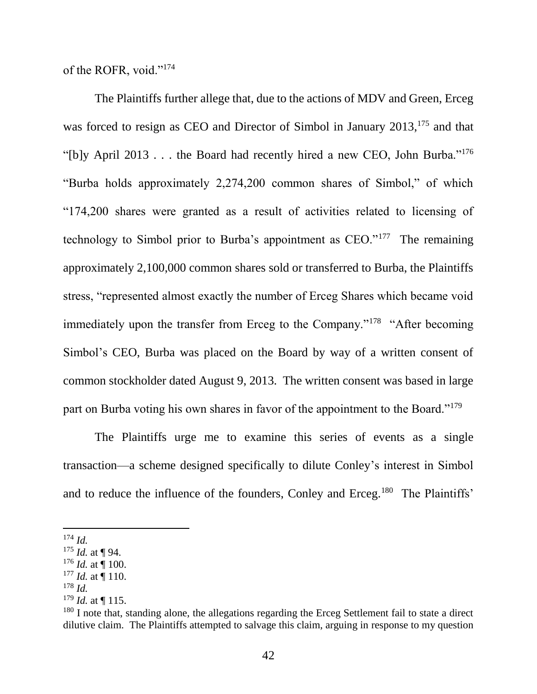of the ROFR, void."<sup>174</sup>

The Plaintiffs further allege that, due to the actions of MDV and Green, Erceg was forced to resign as CEO and Director of Simbol in January 2013,<sup>175</sup> and that "[b]y April 2013 . . . the Board had recently hired a new CEO, John Burba."<sup>176</sup> "Burba holds approximately 2,274,200 common shares of Simbol," of which "174,200 shares were granted as a result of activities related to licensing of technology to Simbol prior to Burba's appointment as CEO."<sup>177</sup> The remaining approximately 2,100,000 common shares sold or transferred to Burba, the Plaintiffs stress, "represented almost exactly the number of Erceg Shares which became void immediately upon the transfer from Erceg to the Company."<sup>178</sup> "After becoming Simbol's CEO, Burba was placed on the Board by way of a written consent of common stockholder dated August 9, 2013. The written consent was based in large part on Burba voting his own shares in favor of the appointment to the Board."<sup>179</sup>

The Plaintiffs urge me to examine this series of events as a single transaction—a scheme designed specifically to dilute Conley's interest in Simbol and to reduce the influence of the founders, Conley and Erceg.<sup>180</sup> The Plaintiffs'

<sup>174</sup> *Id.*

<sup>175</sup> *Id.* at ¶ 94.

 $176$  *Id.* at ¶ 100.

<sup>177</sup> *Id.* at ¶ 110.

<sup>178</sup> *Id.*

<sup>179</sup> *Id.* at ¶ 115.

<sup>&</sup>lt;sup>180</sup> I note that, standing alone, the allegations regarding the Erceg Settlement fail to state a direct dilutive claim. The Plaintiffs attempted to salvage this claim, arguing in response to my question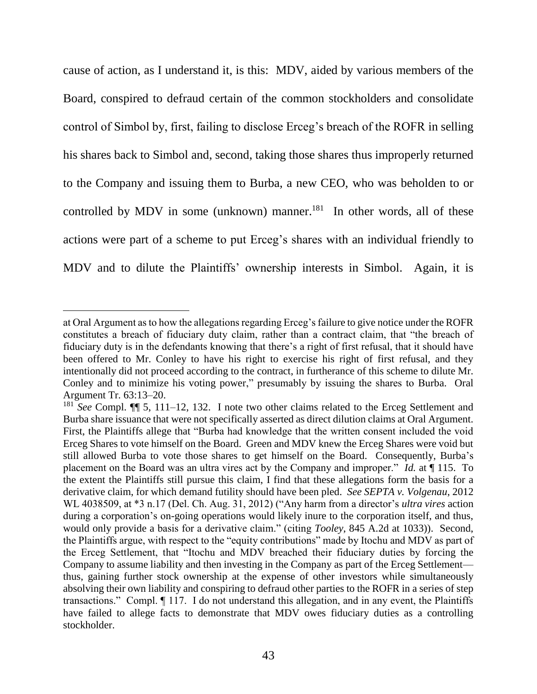cause of action, as I understand it, is this: MDV, aided by various members of the Board, conspired to defraud certain of the common stockholders and consolidate control of Simbol by, first, failing to disclose Erceg's breach of the ROFR in selling his shares back to Simbol and, second, taking those shares thus improperly returned to the Company and issuing them to Burba, a new CEO, who was beholden to or controlled by MDV in some (unknown) manner. $^{181}$  In other words, all of these actions were part of a scheme to put Erceg's shares with an individual friendly to MDV and to dilute the Plaintiffs' ownership interests in Simbol. Again, it is

at Oral Argument as to how the allegations regarding Erceg's failure to give notice under the ROFR constitutes a breach of fiduciary duty claim, rather than a contract claim, that "the breach of fiduciary duty is in the defendants knowing that there's a right of first refusal, that it should have been offered to Mr. Conley to have his right to exercise his right of first refusal, and they intentionally did not proceed according to the contract, in furtherance of this scheme to dilute Mr. Conley and to minimize his voting power," presumably by issuing the shares to Burba. Oral Argument Tr. 63:13–20.

<sup>&</sup>lt;sup>181</sup> See Compl. **[1]** 5, 111–12, 132. I note two other claims related to the Erceg Settlement and Burba share issuance that were not specifically asserted as direct dilution claims at Oral Argument. First, the Plaintiffs allege that "Burba had knowledge that the written consent included the void Erceg Shares to vote himself on the Board. Green and MDV knew the Erceg Shares were void but still allowed Burba to vote those shares to get himself on the Board. Consequently, Burba's placement on the Board was an ultra vires act by the Company and improper." *Id.* at ¶ 115. To the extent the Plaintiffs still pursue this claim, I find that these allegations form the basis for a derivative claim, for which demand futility should have been pled. *See SEPTA v. Volgenau*, 2012 WL 4038509, at \*3 n.17 (Del. Ch. Aug. 31, 2012) ("Any harm from a director's *ultra vires* action during a corporation's on-going operations would likely inure to the corporation itself, and thus, would only provide a basis for a derivative claim." (citing *Tooley*, 845 A.2d at 1033)). Second, the Plaintiffs argue, with respect to the "equity contributions" made by Itochu and MDV as part of the Erceg Settlement, that "Itochu and MDV breached their fiduciary duties by forcing the Company to assume liability and then investing in the Company as part of the Erceg Settlement thus, gaining further stock ownership at the expense of other investors while simultaneously absolving their own liability and conspiring to defraud other parties to the ROFR in a series of step transactions." Compl. ¶ 117. I do not understand this allegation, and in any event, the Plaintiffs have failed to allege facts to demonstrate that MDV owes fiduciary duties as a controlling stockholder.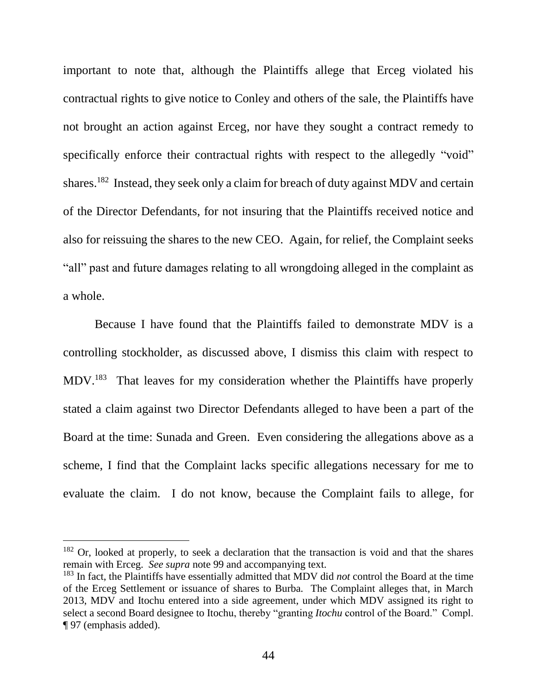important to note that, although the Plaintiffs allege that Erceg violated his contractual rights to give notice to Conley and others of the sale, the Plaintiffs have not brought an action against Erceg, nor have they sought a contract remedy to specifically enforce their contractual rights with respect to the allegedly "void" shares.<sup>182</sup> Instead, they seek only a claim for breach of duty against MDV and certain of the Director Defendants, for not insuring that the Plaintiffs received notice and also for reissuing the shares to the new CEO. Again, for relief, the Complaint seeks "all" past and future damages relating to all wrongdoing alleged in the complaint as a whole.

Because I have found that the Plaintiffs failed to demonstrate MDV is a controlling stockholder, as discussed above, I dismiss this claim with respect to MDV.<sup>183</sup> That leaves for my consideration whether the Plaintiffs have properly stated a claim against two Director Defendants alleged to have been a part of the Board at the time: Sunada and Green. Even considering the allegations above as a scheme, I find that the Complaint lacks specific allegations necessary for me to evaluate the claim. I do not know, because the Complaint fails to allege, for

 $182$  Or, looked at properly, to seek a declaration that the transaction is void and that the shares remain with Erceg. *See supra* note [99](#page-20-0) and accompanying text.

<sup>183</sup> In fact, the Plaintiffs have essentially admitted that MDV did *not* control the Board at the time of the Erceg Settlement or issuance of shares to Burba. The Complaint alleges that, in March 2013, MDV and Itochu entered into a side agreement, under which MDV assigned its right to select a second Board designee to Itochu, thereby "granting *Itochu* control of the Board." Compl. ¶ 97 (emphasis added).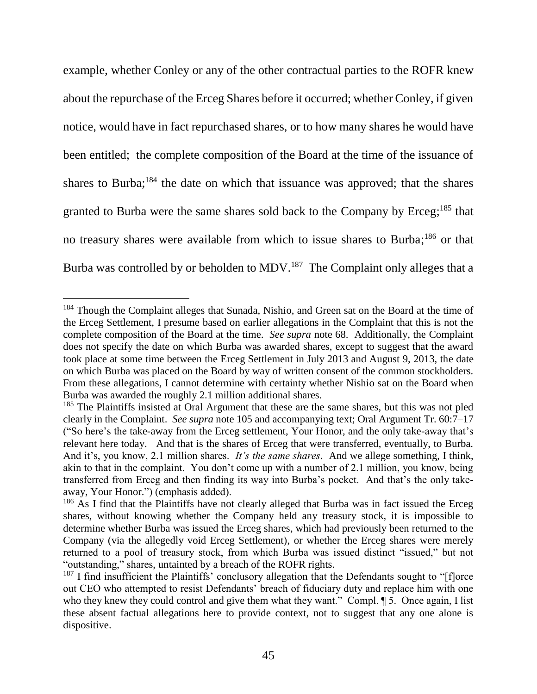example, whether Conley or any of the other contractual parties to the ROFR knew about the repurchase of the Erceg Shares before it occurred; whether Conley, if given notice, would have in fact repurchased shares, or to how many shares he would have been entitled; the complete composition of the Board at the time of the issuance of shares to Burba;<sup>184</sup> the date on which that issuance was approved; that the shares granted to Burba were the same shares sold back to the Company by Erceg;<sup>185</sup> that no treasury shares were available from which to issue shares to Burba;<sup>186</sup> or that Burba was controlled by or beholden to MDV.<sup>187</sup> The Complaint only alleges that a

<sup>&</sup>lt;sup>184</sup> Though the Complaint alleges that Sunada, Nishio, and Green sat on the Board at the time of the Erceg Settlement, I presume based on earlier allegations in the Complaint that this is not the complete composition of the Board at the time. *See supra* note [68.](#page-14-0) Additionally, the Complaint does not specify the date on which Burba was awarded shares, except to suggest that the award took place at some time between the Erceg Settlement in July 2013 and August 9, 2013, the date on which Burba was placed on the Board by way of written consent of the common stockholders. From these allegations, I cannot determine with certainty whether Nishio sat on the Board when Burba was awarded the roughly 2.1 million additional shares.

<sup>&</sup>lt;sup>185</sup> The Plaintiffs insisted at Oral Argument that these are the same shares, but this was not pled clearly in the Complaint. *See supra* note [105](#page-21-0) and accompanying text; Oral Argument Tr. 60:7–17 ("So here's the take-away from the Erceg settlement, Your Honor, and the only take-away that's relevant here today. And that is the shares of Erceg that were transferred, eventually, to Burba. And it's, you know, 2.1 million shares. *It's the same shares*. And we allege something, I think, akin to that in the complaint. You don't come up with a number of 2.1 million, you know, being transferred from Erceg and then finding its way into Burba's pocket. And that's the only takeaway, Your Honor.") (emphasis added).

<sup>&</sup>lt;sup>186</sup> As I find that the Plaintiffs have not clearly alleged that Burba was in fact issued the Erceg shares, without knowing whether the Company held any treasury stock, it is impossible to determine whether Burba was issued the Erceg shares, which had previously been returned to the Company (via the allegedly void Erceg Settlement), or whether the Erceg shares were merely returned to a pool of treasury stock, from which Burba was issued distinct "issued," but not "outstanding," shares, untainted by a breach of the ROFR rights.

<sup>&</sup>lt;sup>187</sup> I find insufficient the Plaintiffs' conclusory allegation that the Defendants sought to "[f]orce out CEO who attempted to resist Defendants' breach of fiduciary duty and replace him with one who they knew they could control and give them what they want." Compl.  $\P$  5. Once again, I list these absent factual allegations here to provide context, not to suggest that any one alone is dispositive.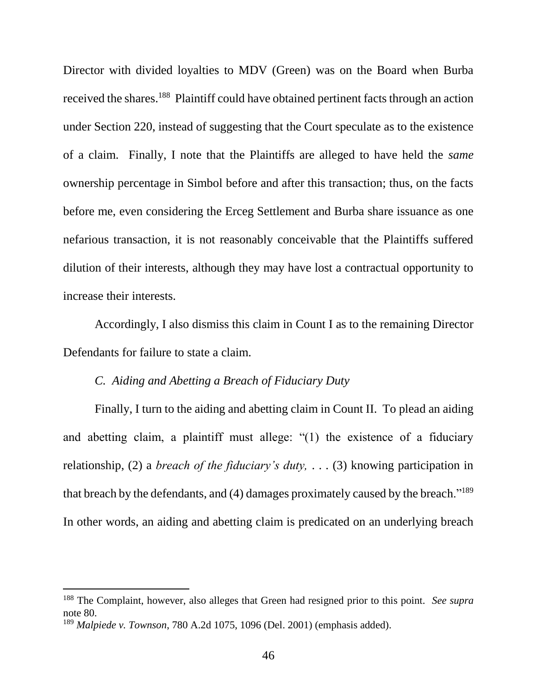Director with divided loyalties to MDV (Green) was on the Board when Burba received the shares.<sup>188</sup> Plaintiff could have obtained pertinent facts through an action under Section 220, instead of suggesting that the Court speculate as to the existence of a claim. Finally, I note that the Plaintiffs are alleged to have held the *same* ownership percentage in Simbol before and after this transaction; thus, on the facts before me, even considering the Erceg Settlement and Burba share issuance as one nefarious transaction, it is not reasonably conceivable that the Plaintiffs suffered dilution of their interests, although they may have lost a contractual opportunity to increase their interests.

Accordingly, I also dismiss this claim in Count I as to the remaining Director Defendants for failure to state a claim.

#### *C. Aiding and Abetting a Breach of Fiduciary Duty*

Finally, I turn to the aiding and abetting claim in Count II. To plead an aiding and abetting claim, a plaintiff must allege: "(1) the existence of a fiduciary relationship, (2) a *breach of the fiduciary's duty,* . . . (3) knowing participation in that breach by the defendants, and (4) damages proximately caused by the breach."<sup>189</sup> In other words, an aiding and abetting claim is predicated on an underlying breach

<sup>188</sup> The Complaint, however, also alleges that Green had resigned prior to this point. *See supra*  note [80.](#page-16-0)

<sup>189</sup> *Malpiede v. Townson*, 780 A.2d 1075, 1096 (Del. 2001) (emphasis added).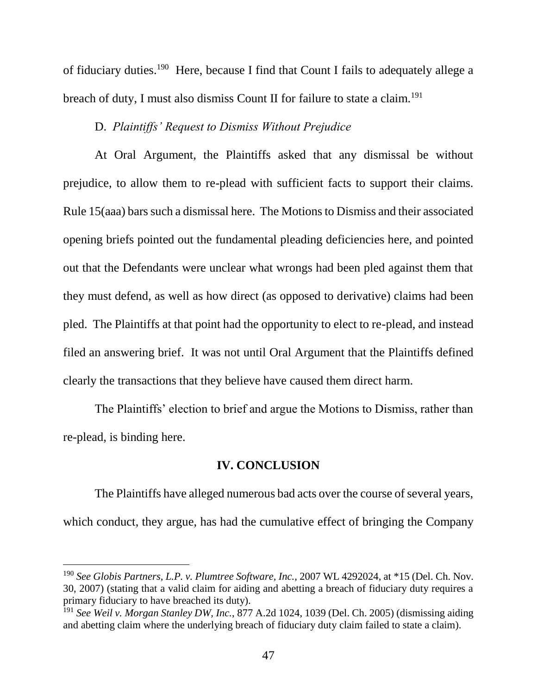of fiduciary duties.<sup>190</sup> Here, because I find that Count I fails to adequately allege a breach of duty, I must also dismiss Count II for failure to state a claim.<sup>191</sup>

#### D. *Plaintiffs' Request to Dismiss Without Prejudice*

At Oral Argument, the Plaintiffs asked that any dismissal be without prejudice, to allow them to re-plead with sufficient facts to support their claims. Rule 15(aaa) bars such a dismissal here. The Motionsto Dismiss and their associated opening briefs pointed out the fundamental pleading deficiencies here, and pointed out that the Defendants were unclear what wrongs had been pled against them that they must defend, as well as how direct (as opposed to derivative) claims had been pled. The Plaintiffs at that point had the opportunity to elect to re-plead, and instead filed an answering brief. It was not until Oral Argument that the Plaintiffs defined clearly the transactions that they believe have caused them direct harm.

The Plaintiffs' election to brief and argue the Motions to Dismiss, rather than re-plead, is binding here.

#### **IV. CONCLUSION**

The Plaintiffs have alleged numerous bad acts over the course of several years, which conduct, they argue, has had the cumulative effect of bringing the Company

<sup>190</sup> *See Globis Partners, L.P. v. Plumtree Software, Inc.*, 2007 WL 4292024, at \*15 (Del. Ch. Nov. 30, 2007) (stating that a valid claim for aiding and abetting a breach of fiduciary duty requires a primary fiduciary to have breached its duty).

<sup>191</sup> *See Weil v. Morgan Stanley DW, Inc.*, 877 A.2d 1024, 1039 (Del. Ch. 2005) (dismissing aiding and abetting claim where the underlying breach of fiduciary duty claim failed to state a claim).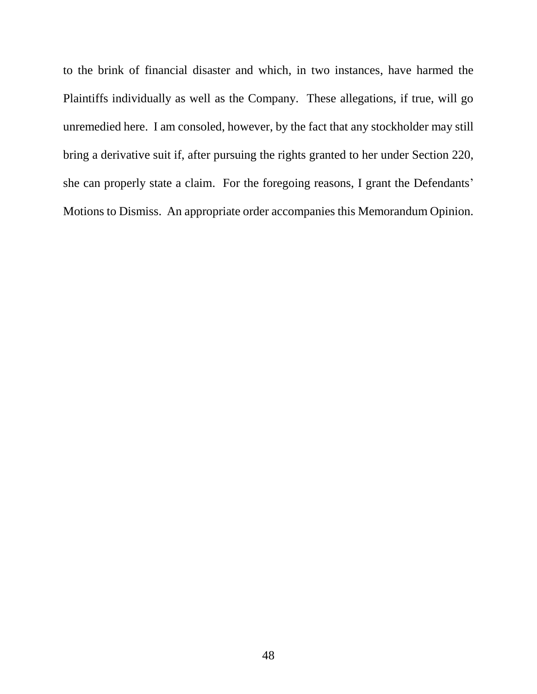to the brink of financial disaster and which, in two instances, have harmed the Plaintiffs individually as well as the Company. These allegations, if true, will go unremedied here. I am consoled, however, by the fact that any stockholder may still bring a derivative suit if, after pursuing the rights granted to her under Section 220, she can properly state a claim. For the foregoing reasons, I grant the Defendants' Motions to Dismiss. An appropriate order accompanies this Memorandum Opinion.